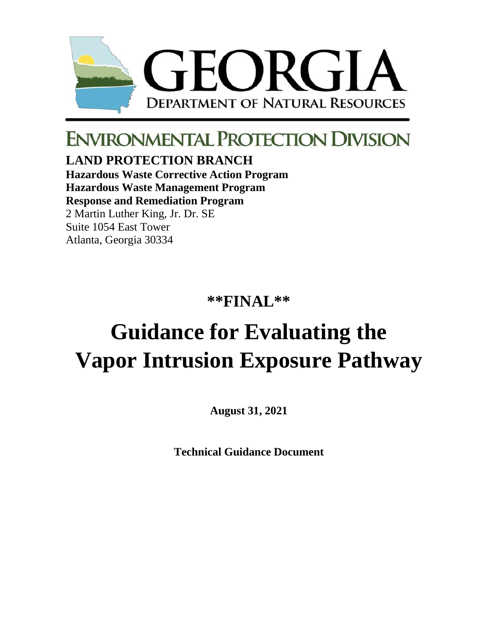

## **ENVIRONMENTAL PROTECTION DIVISION**

**LAND PROTECTION BRANCH Hazardous Waste Corrective Action Program**

**Hazardous Waste Management Program**

**Response and Remediation Program**

2 Martin Luther King, Jr. Dr. SE Suite 1054 East Tower Atlanta, Georgia 30334

**\*\*FINAL\*\***

# **Guidance for Evaluating the Vapor Intrusion Exposure Pathway**

**August 31, 2021**

**Technical Guidance Document**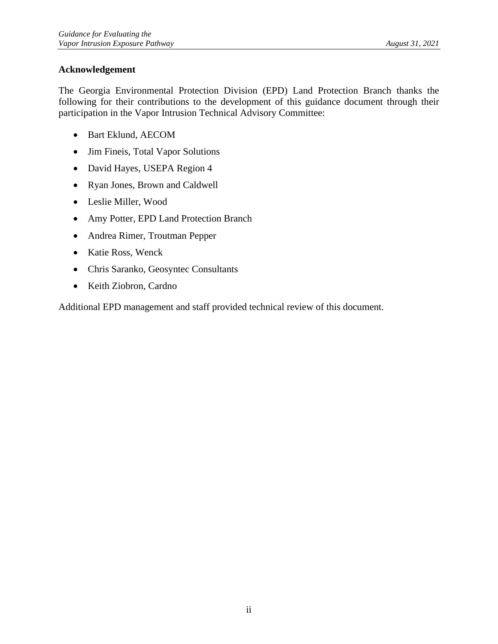#### <span id="page-1-0"></span>**Acknowledgement**

The Georgia Environmental Protection Division (EPD) Land Protection Branch thanks the following for their contributions to the development of this guidance document through their participation in the Vapor Intrusion Technical Advisory Committee:

- Bart Eklund, AECOM
- Jim Fineis, Total Vapor Solutions
- David Hayes, USEPA Region 4
- Ryan Jones, Brown and Caldwell
- Leslie Miller, Wood
- Amy Potter, EPD Land Protection Branch
- Andrea Rimer, Troutman Pepper
- Katie Ross, Wenck
- Chris Saranko, Geosyntec Consultants
- Keith Ziobron, Cardno

Additional EPD management and staff provided technical review of this document.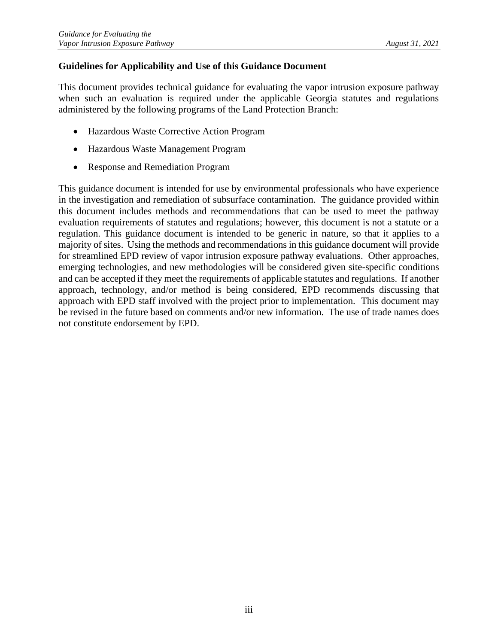#### <span id="page-2-0"></span>**Guidelines for Applicability and Use of this Guidance Document**

This document provides technical guidance for evaluating the vapor intrusion exposure pathway when such an evaluation is required under the applicable Georgia statutes and regulations administered by the following programs of the Land Protection Branch:

- Hazardous Waste Corrective Action Program
- Hazardous Waste Management Program
- Response and Remediation Program

This guidance document is intended for use by environmental professionals who have experience in the investigation and remediation of subsurface contamination. The guidance provided within this document includes methods and recommendations that can be used to meet the pathway evaluation requirements of statutes and regulations; however, this document is not a statute or a regulation. This guidance document is intended to be generic in nature, so that it applies to a majority of sites. Using the methods and recommendations in this guidance document will provide for streamlined EPD review of vapor intrusion exposure pathway evaluations. Other approaches, emerging technologies, and new methodologies will be considered given site-specific conditions and can be accepted if they meet the requirements of applicable statutes and regulations. If another approach, technology, and/or method is being considered, EPD recommends discussing that approach with EPD staff involved with the project prior to implementation. This document may be revised in the future based on comments and/or new information. The use of trade names does not constitute endorsement by EPD.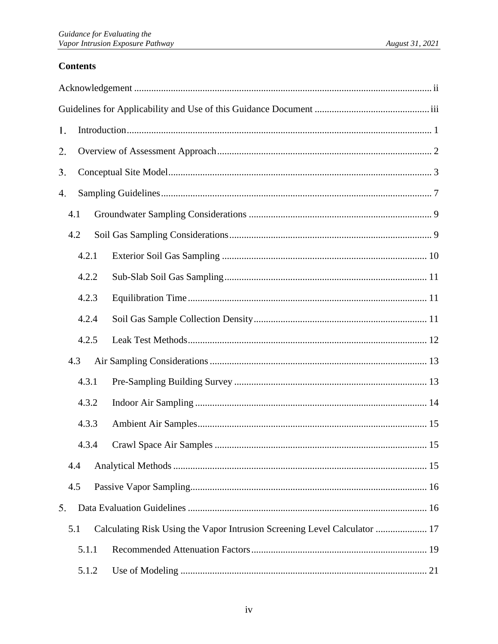## **Contents**

| 1. |       |  |                                                                           |  |  |
|----|-------|--|---------------------------------------------------------------------------|--|--|
| 2. |       |  |                                                                           |  |  |
| 3. |       |  |                                                                           |  |  |
| 4. |       |  |                                                                           |  |  |
|    | 4.1   |  |                                                                           |  |  |
|    | 4.2   |  |                                                                           |  |  |
|    | 4.2.1 |  |                                                                           |  |  |
|    | 4.2.2 |  |                                                                           |  |  |
|    | 4.2.3 |  |                                                                           |  |  |
|    | 4.2.4 |  |                                                                           |  |  |
|    | 4.2.5 |  |                                                                           |  |  |
|    | 4.3   |  |                                                                           |  |  |
|    | 4.3.1 |  |                                                                           |  |  |
|    | 4.3.2 |  |                                                                           |  |  |
|    | 4.3.3 |  |                                                                           |  |  |
|    | 4.3.4 |  |                                                                           |  |  |
|    | 4.4   |  |                                                                           |  |  |
|    | 4.5   |  |                                                                           |  |  |
| 5. |       |  |                                                                           |  |  |
|    | 5.1   |  | Calculating Risk Using the Vapor Intrusion Screening Level Calculator  17 |  |  |
|    | 5.1.1 |  |                                                                           |  |  |
|    | 5.1.2 |  |                                                                           |  |  |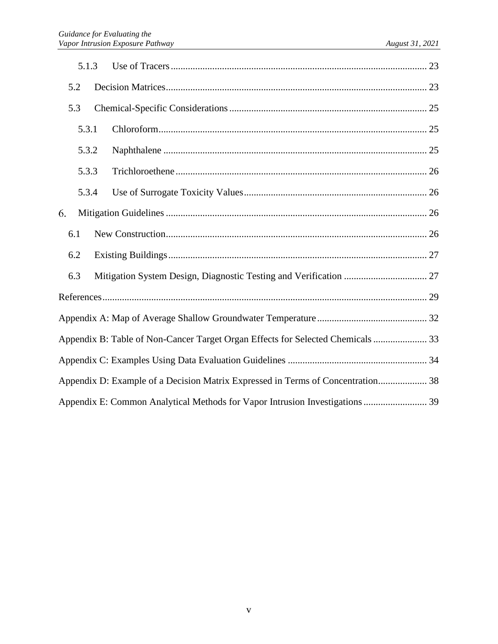|     | 5.1.3                                                                           |  |  |  |  |  |
|-----|---------------------------------------------------------------------------------|--|--|--|--|--|
| 5.2 |                                                                                 |  |  |  |  |  |
| 5.3 |                                                                                 |  |  |  |  |  |
|     | 5.3.1                                                                           |  |  |  |  |  |
|     | 5.3.2                                                                           |  |  |  |  |  |
|     | 5.3.3                                                                           |  |  |  |  |  |
|     | 5.3.4                                                                           |  |  |  |  |  |
| 6.  |                                                                                 |  |  |  |  |  |
| 6.1 |                                                                                 |  |  |  |  |  |
| 6.2 |                                                                                 |  |  |  |  |  |
| 6.3 |                                                                                 |  |  |  |  |  |
|     |                                                                                 |  |  |  |  |  |
|     |                                                                                 |  |  |  |  |  |
|     | Appendix B: Table of Non-Cancer Target Organ Effects for Selected Chemicals  33 |  |  |  |  |  |
|     |                                                                                 |  |  |  |  |  |
|     | Appendix D: Example of a Decision Matrix Expressed in Terms of Concentration 38 |  |  |  |  |  |
|     | Appendix E: Common Analytical Methods for Vapor Intrusion Investigations 39     |  |  |  |  |  |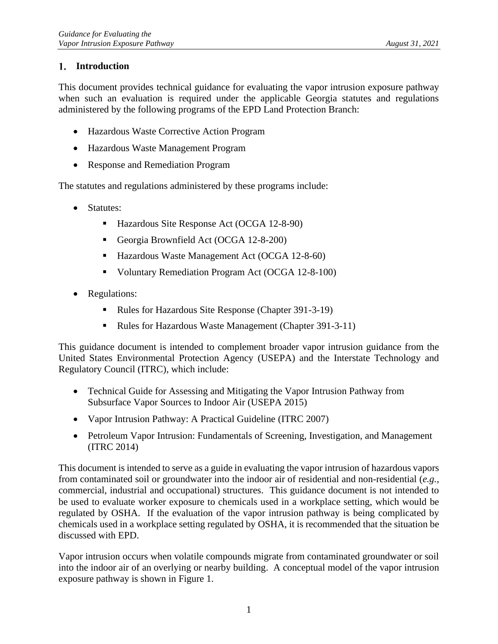#### <span id="page-5-0"></span>**Introduction**

This document provides technical guidance for evaluating the vapor intrusion exposure pathway when such an evaluation is required under the applicable Georgia statutes and regulations administered by the following programs of the EPD Land Protection Branch:

- Hazardous Waste Corrective Action Program
- Hazardous Waste Management Program
- Response and Remediation Program

The statutes and regulations administered by these programs include:

- Statutes:
	- Hazardous Site Response Act (OCGA 12-8-90)
	- Georgia Brownfield Act (OCGA 12-8-200)
	- Hazardous Waste Management Act (OCGA 12-8-60)
	- Voluntary Remediation Program Act (OCGA 12-8-100)
- Regulations:
	- Rules for Hazardous Site Response (Chapter 391-3-19)
	- Rules for Hazardous Waste Management (Chapter 391-3-11)

This guidance document is intended to complement broader vapor intrusion guidance from the United States Environmental Protection Agency (USEPA) and the Interstate Technology and Regulatory Council (ITRC), which include:

- Technical Guide for Assessing and Mitigating the Vapor Intrusion Pathway from Subsurface Vapor Sources to Indoor Air (USEPA 2015)
- Vapor Intrusion Pathway: A Practical Guideline (ITRC 2007)
- Petroleum Vapor Intrusion: Fundamentals of Screening, Investigation, and Management (ITRC 2014)

This document is intended to serve as a guide in evaluating the vapor intrusion of hazardous vapors from contaminated soil or groundwater into the indoor air of residential and non-residential (*e.g.,*  commercial, industrial and occupational) structures. This guidance document is not intended to be used to evaluate worker exposure to chemicals used in a workplace setting, which would be regulated by OSHA. If the evaluation of the vapor intrusion pathway is being complicated by chemicals used in a workplace setting regulated by OSHA, it is recommended that the situation be discussed with EPD.

Vapor intrusion occurs when volatile compounds migrate from contaminated groundwater or soil into the indoor air of an overlying or nearby building. A conceptual model of the vapor intrusion exposure pathway is shown in Figure 1.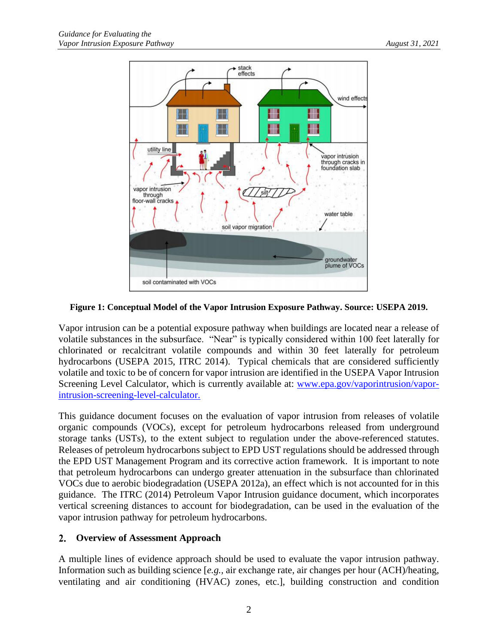

#### **Figure 1: Conceptual Model of the Vapor Intrusion Exposure Pathway. Source: USEPA 2019.**

Vapor intrusion can be a potential exposure pathway when buildings are located near a release of volatile substances in the subsurface. "Near" is typically considered within 100 feet laterally for chlorinated or recalcitrant volatile compounds and within 30 feet laterally for petroleum hydrocarbons (USEPA 2015, ITRC 2014). Typical chemicals that are considered sufficiently volatile and toxic to be of concern for vapor intrusion are identified in the USEPA Vapor Intrusion Screening Level Calculator, which is currently available at: [www.epa.gov/vaporintrusion/vapor](http://www.epa.gov/vaporintrusion/vapor-intrusion-screening-level-calculator)[intrusion-screening-level-calculator.](http://www.epa.gov/vaporintrusion/vapor-intrusion-screening-level-calculator)

This guidance document focuses on the evaluation of vapor intrusion from releases of volatile organic compounds (VOCs), except for petroleum hydrocarbons released from underground storage tanks (USTs), to the extent subject to regulation under the above-referenced statutes. Releases of petroleum hydrocarbons subject to EPD UST regulations should be addressed through the EPD UST Management Program and its corrective action framework. It is important to note that petroleum hydrocarbons can undergo greater attenuation in the subsurface than chlorinated VOCs due to aerobic biodegradation (USEPA 2012a), an effect which is not accounted for in this guidance. The ITRC (2014) Petroleum Vapor Intrusion guidance document, which incorporates vertical screening distances to account for biodegradation, can be used in the evaluation of the vapor intrusion pathway for petroleum hydrocarbons.

#### <span id="page-6-0"></span>**Overview of Assessment Approach**  $2.$

A multiple lines of evidence approach should be used to evaluate the vapor intrusion pathway. Information such as building science [*e.g.,* air exchange rate, air changes per hour (ACH)/heating, ventilating and air conditioning (HVAC) zones, etc.], building construction and condition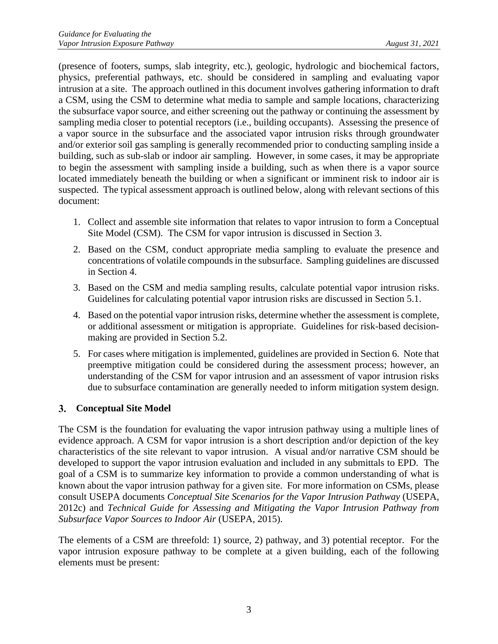(presence of footers, sumps, slab integrity, etc.), geologic, hydrologic and biochemical factors, physics, preferential pathways, etc. should be considered in sampling and evaluating vapor intrusion at a site. The approach outlined in this document involves gathering information to draft a CSM, using the CSM to determine what media to sample and sample locations, characterizing the subsurface vapor source, and either screening out the pathway or continuing the assessment by sampling media closer to potential receptors (i.e., building occupants). Assessing the presence of a vapor source in the subsurface and the associated vapor intrusion risks through groundwater and/or exterior soil gas sampling is generally recommended prior to conducting sampling inside a building, such as sub-slab or indoor air sampling. However, in some cases, it may be appropriate to begin the assessment with sampling inside a building, such as when there is a vapor source located immediately beneath the building or when a significant or imminent risk to indoor air is suspected. The typical assessment approach is outlined below, along with relevant sections of this document:

- 1. Collect and assemble site information that relates to vapor intrusion to form a Conceptual Site Model (CSM). The CSM for vapor intrusion is discussed in Section [3.](#page-7-0)
- 2. Based on the CSM, conduct appropriate media sampling to evaluate the presence and concentrations of volatile compounds in the subsurface. Sampling guidelines are discussed in Section [4.](#page-11-0)
- 3. Based on the CSM and media sampling results, calculate potential vapor intrusion risks. Guidelines for calculating potential vapor intrusion risks are discussed in Section [5.1.](#page-21-0)
- 4. Based on the potential vapor intrusion risks, determine whether the assessment is complete, or additional assessment or mitigation is appropriate. Guidelines for risk-based decisionmaking are provided in Section [5.2.](#page-27-1)
- 5. For cases where mitigation is implemented, guidelines are provided in Section [6.](#page-30-2) Note that preemptive mitigation could be considered during the assessment process; however, an understanding of the CSM for vapor intrusion and an assessment of vapor intrusion risks due to subsurface contamination are generally needed to inform mitigation system design.

#### <span id="page-7-0"></span>**Conceptual Site Model**

The CSM is the foundation for evaluating the vapor intrusion pathway using a multiple lines of evidence approach. A CSM for vapor intrusion is a short description and/or depiction of the key characteristics of the site relevant to vapor intrusion. A visual and/or narrative CSM should be developed to support the vapor intrusion evaluation and included in any submittals to EPD. The goal of a CSM is to summarize key information to provide a common understanding of what is known about the vapor intrusion pathway for a given site. For more information on CSMs, please consult USEPA documents *Conceptual Site Scenarios for the Vapor Intrusion Pathway* (USEPA, 2012c) and *Technical Guide for Assessing and Mitigating the Vapor Intrusion Pathway from Subsurface Vapor Sources to Indoor Air* (USEPA, 2015).

The elements of a CSM are threefold: 1) source, 2) pathway, and 3) potential receptor. For the vapor intrusion exposure pathway to be complete at a given building, each of the following elements must be present: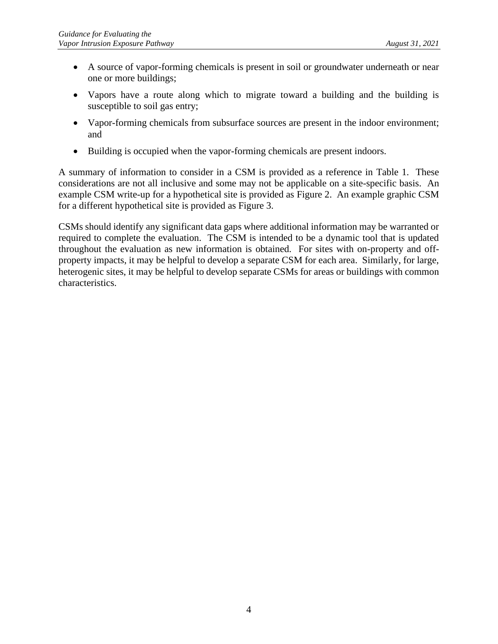- A source of vapor-forming chemicals is present in soil or groundwater underneath or near one or more buildings;
- Vapors have a route along which to migrate toward a building and the building is susceptible to soil gas entry;
- Vapor-forming chemicals from subsurface sources are present in the indoor environment; and
- Building is occupied when the vapor-forming chemicals are present indoors.

A summary of information to consider in a CSM is provided as a reference in Table 1. These considerations are not all inclusive and some may not be applicable on a site-specific basis. An example CSM write-up for a hypothetical site is provided as Figure 2. An example graphic CSM for a different hypothetical site is provided as Figure 3.

CSMs should identify any significant data gaps where additional information may be warranted or required to complete the evaluation. The CSM is intended to be a dynamic tool that is updated throughout the evaluation as new information is obtained. For sites with on-property and offproperty impacts, it may be helpful to develop a separate CSM for each area. Similarly, for large, heterogenic sites, it may be helpful to develop separate CSMs for areas or buildings with common characteristics.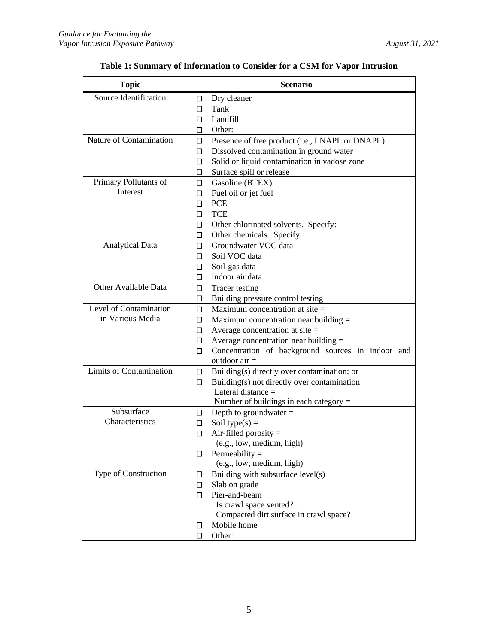| <b>Topic</b>                   | <b>Scenario</b> |                                                   |  |
|--------------------------------|-----------------|---------------------------------------------------|--|
| Source Identification          | 0               | Dry cleaner                                       |  |
|                                | п               | Tank                                              |  |
|                                | П               | Landfill                                          |  |
|                                | □               | Other:                                            |  |
| Nature of Contamination        | $\Box$          | Presence of free product (i.e., LNAPL or DNAPL)   |  |
|                                | $\Box$          | Dissolved contamination in ground water           |  |
|                                | $\Box$          | Solid or liquid contamination in vadose zone      |  |
|                                | 0               | Surface spill or release                          |  |
| Primary Pollutants of          | 0               | Gasoline (BTEX)                                   |  |
| Interest                       | $\Box$          | Fuel oil or jet fuel                              |  |
|                                | П               | <b>PCE</b>                                        |  |
|                                | □               | <b>TCE</b>                                        |  |
|                                | 0               | Other chlorinated solvents. Specify:              |  |
|                                |                 | $\Box$ Other chemicals. Specify:                  |  |
| <b>Analytical Data</b>         | П.              | Groundwater VOC data                              |  |
|                                | П               | Soil VOC data                                     |  |
|                                | □               | Soil-gas data                                     |  |
|                                | П               | Indoor air data                                   |  |
| Other Available Data           | $\Box$          | Tracer testing                                    |  |
|                                | $\Box$          | Building pressure control testing                 |  |
| Level of Contamination         | □               | Maximum concentration at site $=$                 |  |
| in Various Media               | □               | Maximum concentration near building =             |  |
|                                | $\Box$          | Average concentration at site $=$                 |  |
|                                | $\Box$          | Average concentration near building =             |  |
|                                | $\Box$          | Concentration of background sources in indoor and |  |
|                                |                 | outdoor $air =$                                   |  |
| <b>Limits of Contamination</b> | $\Box$          | Building(s) directly over contamination; or       |  |
|                                | $\Box$          | Building(s) not directly over contamination       |  |
|                                |                 | Lateral distance $=$                              |  |
|                                |                 | Number of buildings in each category =            |  |
| Subsurface                     | ⊔               | Depth to groundwater $=$                          |  |
| Characteristics                | ◨               | Soil type( $s$ ) =                                |  |
|                                | О               | Air-filled porosity $=$                           |  |
|                                |                 | (e.g., low, medium, high)                         |  |
|                                | ◨               | Permeability $=$                                  |  |
| Type of Construction           |                 | (e.g., low, medium, high)                         |  |
|                                | □               | Building with subsurface level(s)                 |  |
|                                | $\Box$          | Slab on grade<br>Pier-and-beam                    |  |
|                                | П               | Is crawl space vented?                            |  |
|                                |                 | Compacted dirt surface in crawl space?            |  |
|                                | □               | Mobile home                                       |  |
|                                | □               | Other:                                            |  |
|                                |                 |                                                   |  |

### **Table 1: Summary of Information to Consider for a CSM for Vapor Intrusion**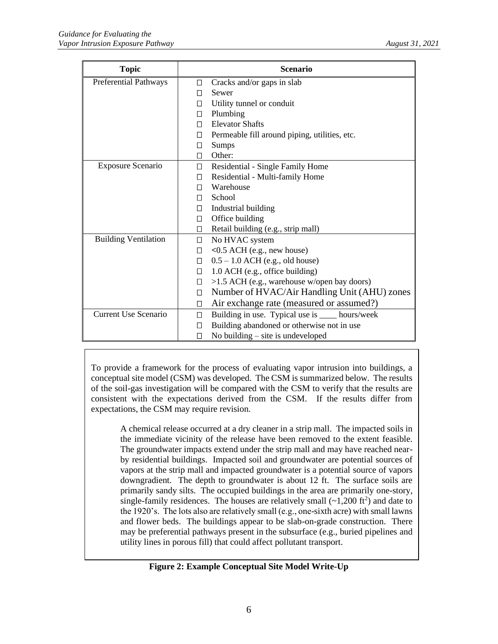| <b>Topic</b>                 | <b>Scenario</b>                 |                                                 |  |
|------------------------------|---------------------------------|-------------------------------------------------|--|
| <b>Preferential Pathways</b> | Cracks and/or gaps in slab<br>□ |                                                 |  |
|                              | П                               | Sewer                                           |  |
|                              | П                               | Utility tunnel or conduit                       |  |
|                              | □                               | Plumbing                                        |  |
|                              | П                               | <b>Elevator Shafts</b>                          |  |
|                              | П                               | Permeable fill around piping, utilities, etc.   |  |
|                              | □                               | Sumps                                           |  |
|                              | П                               | Other:                                          |  |
| <b>Exposure Scenario</b>     | □                               | Residential - Single Family Home                |  |
|                              | П                               | Residential - Multi-family Home                 |  |
|                              | П                               | Warehouse                                       |  |
|                              | $\Box$                          | School                                          |  |
|                              | $\Box$                          | Industrial building                             |  |
|                              | □                               | Office building                                 |  |
|                              | □                               | Retail building (e.g., strip mall)              |  |
| <b>Building Ventilation</b>  | $\Box$                          | No HVAC system                                  |  |
|                              | $\Box$                          | $<$ 0.5 ACH (e.g., new house)                   |  |
|                              | $\Box$                          | $0.5 - 1.0$ ACH (e.g., old house)               |  |
|                              | $\Box$                          | 1.0 ACH (e.g., office building)                 |  |
|                              | $\Box$                          | >1.5 ACH (e.g., warehouse w/open bay doors)     |  |
|                              | $\Box$                          | Number of HVAC/Air Handling Unit (AHU) zones    |  |
|                              | □                               | Air exchange rate (measured or assumed?)        |  |
| <b>Current Use Scenario</b>  | $\Box$                          | Building in use. Typical use is ____ hours/week |  |
|                              | □                               | Building abandoned or otherwise not in use      |  |
|                              | П                               | No building $-$ site is undeveloped             |  |

To provide a framework for the process of evaluating vapor intrusion into buildings, a conceptual site model (CSM) was developed. The CSM is summarized below. The results of the soil-gas investigation will be compared with the CSM to verify that the results are consistent with the expectations derived from the CSM. If the results differ from expectations, the CSM may require revision.

A chemical release occurred at a dry cleaner in a strip mall. The impacted soils in the immediate vicinity of the release have been removed to the extent feasible. The groundwater impacts extend under the strip mall and may have reached nearby residential buildings. Impacted soil and groundwater are potential sources of vapors at the strip mall and impacted groundwater is a potential source of vapors downgradient. The depth to groundwater is about 12 ft. The surface soils are primarily sandy silts. The occupied buildings in the area are primarily one-story, single-family residences. The houses are relatively small  $(\sim 1,200 \text{ ft}^2)$  and date to the 1920's. The lots also are relatively small (e.g., one-sixth acre) with small lawns and flower beds. The buildings appear to be slab-on-grade construction. There may be preferential pathways present in the subsurface (e.g., buried pipelines and utility lines in porous fill) that could affect pollutant transport.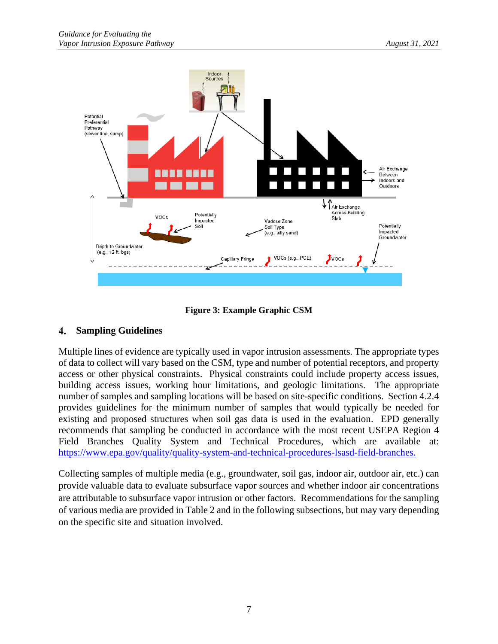

**Figure 3: Example Graphic CSM**

#### <span id="page-11-0"></span>**Sampling Guidelines**  $\overline{4}$ .

Multiple lines of evidence are typically used in vapor intrusion assessments. The appropriate types of data to collect will vary based on the CSM, type and number of potential receptors, and property access or other physical constraints. Physical constraints could include property access issues, building access issues, working hour limitations, and geologic limitations. The appropriate number of samples and sampling locations will be based on site-specific conditions. Section [4.2.4](#page-15-2) provides guidelines for the minimum number of samples that would typically be needed for existing and proposed structures when soil gas data is used in the evaluation. EPD generally recommends that sampling be conducted in accordance with the most recent USEPA Region 4 Field Branches Quality System and Technical Procedures, which are available at: [https://www.epa.gov/quality/quality-system-and-technical-procedures-lsasd-field-branches.](https://www.epa.gov/quality/quality-system-and-technical-procedures-lsasd-field-branches)

Collecting samples of multiple media (e.g., groundwater, soil gas, indoor air, outdoor air, etc.) can provide valuable data to evaluate subsurface vapor sources and whether indoor air concentrations are attributable to subsurface vapor intrusion or other factors. Recommendations for the sampling of various media are provided in Table 2 and in the following subsections, but may vary depending on the specific site and situation involved.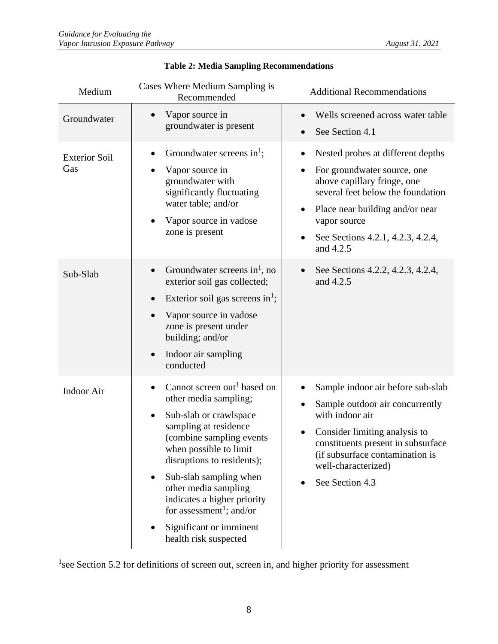| Medium                      | Cases Where Medium Sampling is<br>Recommended                                                                                                                                                                                                                                                                                                                                                                   | <b>Additional Recommendations</b>                                                                                                                                                                                                                                                |
|-----------------------------|-----------------------------------------------------------------------------------------------------------------------------------------------------------------------------------------------------------------------------------------------------------------------------------------------------------------------------------------------------------------------------------------------------------------|----------------------------------------------------------------------------------------------------------------------------------------------------------------------------------------------------------------------------------------------------------------------------------|
| Groundwater                 | Vapor source in<br>$\bullet$<br>groundwater is present                                                                                                                                                                                                                                                                                                                                                          | Wells screened across water table<br>$\bullet$<br>See Section 4.1<br>$\bullet$                                                                                                                                                                                                   |
| <b>Exterior Soil</b><br>Gas | Groundwater screens in <sup>1</sup> ;<br>$\bullet$<br>Vapor source in<br>groundwater with<br>significantly fluctuating<br>water table; and/or<br>Vapor source in vadose<br>zone is present                                                                                                                                                                                                                      | Nested probes at different depths<br>$\bullet$<br>For groundwater source, one<br>above capillary fringe, one<br>several feet below the foundation<br>Place near building and/or near<br>$\bullet$<br>vapor source<br>See Sections 4.2.1, 4.2.3, 4.2.4,<br>$\bullet$<br>and 4.2.5 |
| Sub-Slab                    | Groundwater screens in <sup>1</sup> , no<br>$\bullet$<br>exterior soil gas collected;<br>Exterior soil gas screens in <sup>1</sup> ;<br>Vapor source in vadose<br>zone is present under<br>building; and/or<br>Indoor air sampling<br>conducted                                                                                                                                                                 | See Sections 4.2.2, 4.2.3, 4.2.4,<br>$\bullet$<br>and 4.2.5                                                                                                                                                                                                                      |
| <b>Indoor Air</b>           | Cannot screen out <sup>1</sup> based on<br>$\bullet$<br>other media sampling;<br>Sub-slab or crawlspace<br>sampling at residence<br>(combine sampling events)<br>when possible to limit<br>disruptions to residents);<br>Sub-slab sampling when<br>$\bullet$<br>other media sampling<br>indicates a higher priority<br>for assessment <sup>1</sup> ; and/or<br>Significant or imminent<br>health risk suspected | Sample indoor air before sub-slab<br>Sample outdoor air concurrently<br>٠<br>with indoor air<br>Consider limiting analysis to<br>$\bullet$<br>constituents present in subsurface<br>(if subsurface contamination is<br>well-characterized)<br>See Section 4.3                    |

#### **Table 2: Media Sampling Recommendations**

<sup>1</sup>see Section [5.2](#page-27-1) for definitions of screen out, screen in, and higher priority for assessment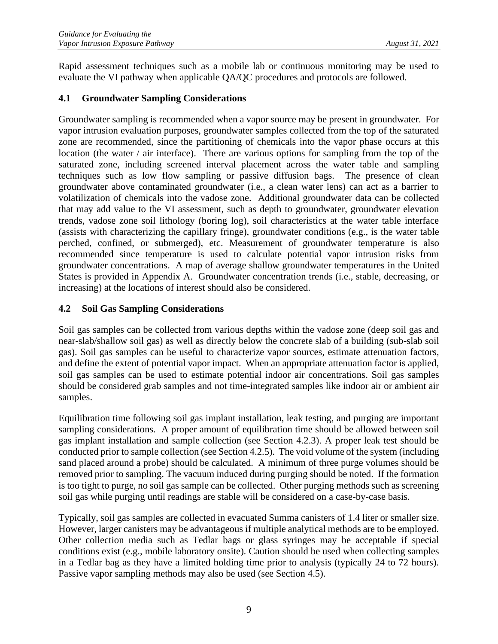Rapid assessment techniques such as a mobile lab or continuous monitoring may be used to evaluate the VI pathway when applicable QA/QC procedures and protocols are followed.

#### <span id="page-13-0"></span>**4.1 Groundwater Sampling Considerations**

Groundwater sampling is recommended when a vapor source may be present in groundwater. For vapor intrusion evaluation purposes, groundwater samples collected from the top of the saturated zone are recommended, since the partitioning of chemicals into the vapor phase occurs at this location (the water / air interface). There are various options for sampling from the top of the saturated zone, including screened interval placement across the water table and sampling techniques such as low flow sampling or passive diffusion bags. The presence of clean groundwater above contaminated groundwater (i.e., a clean water lens) can act as a barrier to volatilization of chemicals into the vadose zone. Additional groundwater data can be collected that may add value to the VI assessment, such as depth to groundwater, groundwater elevation trends, vadose zone soil lithology (boring log), soil characteristics at the water table interface (assists with characterizing the capillary fringe), groundwater conditions (e.g., is the water table perched, confined, or submerged), etc. Measurement of groundwater temperature is also recommended since temperature is used to calculate potential vapor intrusion risks from groundwater concentrations. A map of average shallow groundwater temperatures in the United States is provided in Appendix A. Groundwater concentration trends (i.e., stable, decreasing, or increasing) at the locations of interest should also be considered.

#### <span id="page-13-1"></span>**4.2 Soil Gas Sampling Considerations**

Soil gas samples can be collected from various depths within the vadose zone (deep soil gas and near-slab/shallow soil gas) as well as directly below the concrete slab of a building (sub-slab soil gas). Soil gas samples can be useful to characterize vapor sources, estimate attenuation factors, and define the extent of potential vapor impact. When an appropriate attenuation factor is applied, soil gas samples can be used to estimate potential indoor air concentrations. Soil gas samples should be considered grab samples and not time-integrated samples like indoor air or ambient air samples.

Equilibration time following soil gas implant installation, leak testing, and purging are important sampling considerations. A proper amount of equilibration time should be allowed between soil gas implant installation and sample collection (see Section [4.2.3\)](#page-15-1). A proper leak test should be conducted prior to sample collection (see Section [4.2.5\)](#page-16-0). The void volume of the system (including sand placed around a probe) should be calculated. A minimum of three purge volumes should be removed prior to sampling. The vacuum induced during purging should be noted. If the formation is too tight to purge, no soil gas sample can be collected. Other purging methods such as screening soil gas while purging until readings are stable will be considered on a case-by-case basis.

Typically, soil gas samples are collected in evacuated Summa canisters of 1.4 liter or smaller size. However, larger canisters may be advantageous if multiple analytical methods are to be employed. Other collection media such as Tedlar bags or glass syringes may be acceptable if special conditions exist (e.g., mobile laboratory onsite). Caution should be used when collecting samples in a Tedlar bag as they have a limited holding time prior to analysis (typically 24 to 72 hours). Passive vapor sampling methods may also be used (see Section [4.5\)](#page-20-0).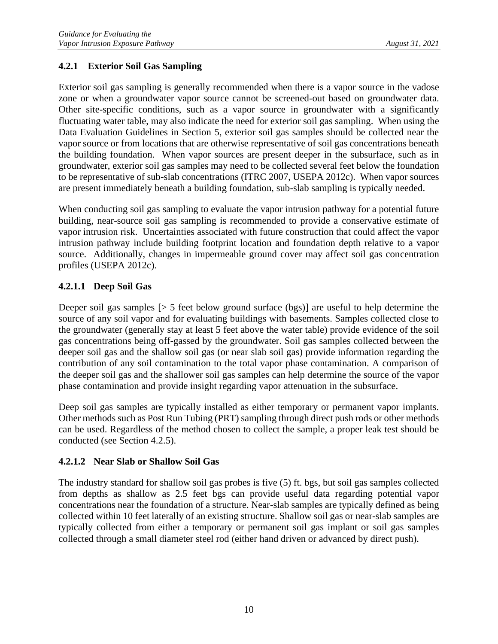#### <span id="page-14-0"></span>**4.2.1 Exterior Soil Gas Sampling**

Exterior soil gas sampling is generally recommended when there is a vapor source in the vadose zone or when a groundwater vapor source cannot be screened-out based on groundwater data. Other site-specific conditions, such as a vapor source in groundwater with a significantly fluctuating water table, may also indicate the need for exterior soil gas sampling. When using the Data Evaluation Guidelines in Section [5,](#page-20-1) exterior soil gas samples should be collected near the vapor source or from locations that are otherwise representative of soil gas concentrations beneath the building foundation. When vapor sources are present deeper in the subsurface, such as in groundwater, exterior soil gas samples may need to be collected several feet below the foundation to be representative of sub-slab concentrations (ITRC 2007, USEPA 2012c). When vapor sources are present immediately beneath a building foundation, sub-slab sampling is typically needed.

When conducting soil gas sampling to evaluate the vapor intrusion pathway for a potential future building, near-source soil gas sampling is recommended to provide a conservative estimate of vapor intrusion risk. Uncertainties associated with future construction that could affect the vapor intrusion pathway include building footprint location and foundation depth relative to a vapor source. Additionally, changes in impermeable ground cover may affect soil gas concentration profiles (USEPA 2012c).

#### **4.2.1.1 Deep Soil Gas**

Deeper soil gas samples [> 5 feet below ground surface (bgs)] are useful to help determine the source of any soil vapor and for evaluating buildings with basements. Samples collected close to the groundwater (generally stay at least 5 feet above the water table) provide evidence of the soil gas concentrations being off-gassed by the groundwater. Soil gas samples collected between the deeper soil gas and the shallow soil gas (or near slab soil gas) provide information regarding the contribution of any soil contamination to the total vapor phase contamination. A comparison of the deeper soil gas and the shallower soil gas samples can help determine the source of the vapor phase contamination and provide insight regarding vapor attenuation in the subsurface.

Deep soil gas samples are typically installed as either temporary or permanent vapor implants. Other methods such as Post Run Tubing (PRT) sampling through direct push rods or other methods can be used. Regardless of the method chosen to collect the sample, a proper leak test should be conducted (see Section [4.2.5\)](#page-16-0).

#### **4.2.1.2 Near Slab or Shallow Soil Gas**

The industry standard for shallow soil gas probes is five (5) ft. bgs, but soil gas samples collected from depths as shallow as 2.5 feet bgs can provide useful data regarding potential vapor concentrations near the foundation of a structure. Near-slab samples are typically defined as being collected within 10 feet laterally of an existing structure. Shallow soil gas or near-slab samples are typically collected from either a temporary or permanent soil gas implant or soil gas samples collected through a small diameter steel rod (either hand driven or advanced by direct push).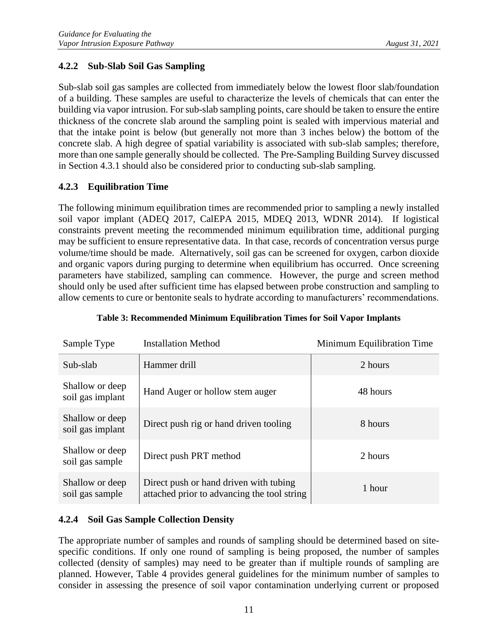#### <span id="page-15-0"></span>**4.2.2 Sub-Slab Soil Gas Sampling**

Sub-slab soil gas samples are collected from immediately below the lowest floor slab/foundation of a building. These samples are useful to characterize the levels of chemicals that can enter the building via vapor intrusion. For sub-slab sampling points, care should be taken to ensure the entire thickness of the concrete slab around the sampling point is sealed with impervious material and that the intake point is below (but generally not more than 3 inches below) the bottom of the concrete slab. A high degree of spatial variability is associated with sub-slab samples; therefore, more than one sample generally should be collected. The Pre-Sampling Building Survey discussed in Section [4.3.1](#page-17-1) should also be considered prior to conducting sub-slab sampling.

### <span id="page-15-1"></span>**4.2.3 Equilibration Time**

The following minimum equilibration times are recommended prior to sampling a newly installed soil vapor implant (ADEQ 2017, CalEPA 2015, MDEQ 2013, WDNR 2014). If logistical constraints prevent meeting the recommended minimum equilibration time, additional purging may be sufficient to ensure representative data. In that case, records of concentration versus purge volume/time should be made. Alternatively, soil gas can be screened for oxygen, carbon dioxide and organic vapors during purging to determine when equilibrium has occurred. Once screening parameters have stabilized, sampling can commence. However, the purge and screen method should only be used after sufficient time has elapsed between probe construction and sampling to allow cements to cure or bentonite seals to hydrate according to manufacturers' recommendations.

| Sample Type                         | <b>Installation Method</b>                                                            | Minimum Equilibration Time |
|-------------------------------------|---------------------------------------------------------------------------------------|----------------------------|
| Sub-slab                            | Hammer drill                                                                          | 2 hours                    |
| Shallow or deep<br>soil gas implant | Hand Auger or hollow stem auger                                                       | 48 hours                   |
| Shallow or deep<br>soil gas implant | Direct push rig or hand driven tooling                                                | 8 hours                    |
| Shallow or deep<br>soil gas sample  | Direct push PRT method                                                                | 2 hours                    |
| Shallow or deep<br>soil gas sample  | Direct push or hand driven with tubing<br>attached prior to advancing the tool string | 1 hour                     |

**Table 3: Recommended Minimum Equilibration Times for Soil Vapor Implants** 

#### <span id="page-15-2"></span>**4.2.4 Soil Gas Sample Collection Density**

The appropriate number of samples and rounds of sampling should be determined based on sitespecific conditions. If only one round of sampling is being proposed, the number of samples collected (density of samples) may need to be greater than if multiple rounds of sampling are planned. However, Table 4 provides general guidelines for the minimum number of samples to consider in assessing the presence of soil vapor contamination underlying current or proposed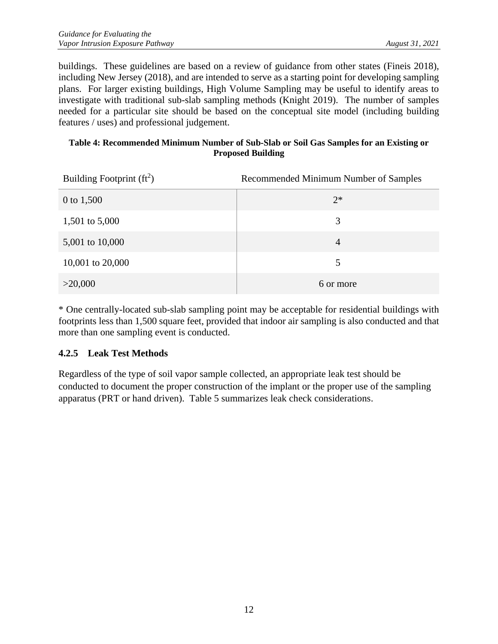buildings. These guidelines are based on a review of guidance from other states (Fineis 2018), including New Jersey (2018), and are intended to serve as a starting point for developing sampling plans. For larger existing buildings, High Volume Sampling may be useful to identify areas to investigate with traditional sub-slab sampling methods (Knight 2019). The number of samples needed for a particular site should be based on the conceptual site model (including building features / uses) and professional judgement.

#### **Table 4: Recommended Minimum Number of Sub-Slab or Soil Gas Samples for an Existing or Proposed Building**

| Building Footprint $(ft^2)$ | Recommended Minimum Number of Samples |
|-----------------------------|---------------------------------------|
| 0 to 1,500                  | $2*$                                  |
| 1,501 to 5,000              | 3                                     |
| 5,001 to 10,000             | $\overline{4}$                        |
| 10,001 to 20,000            | 5                                     |
| >20,000                     | 6 or more                             |

\* One centrally-located sub-slab sampling point may be acceptable for residential buildings with footprints less than 1,500 square feet, provided that indoor air sampling is also conducted and that more than one sampling event is conducted.

#### <span id="page-16-0"></span>**4.2.5 Leak Test Methods**

Regardless of the type of soil vapor sample collected, an appropriate leak test should be conducted to document the proper construction of the implant or the proper use of the sampling apparatus (PRT or hand driven). Table 5 summarizes leak check considerations.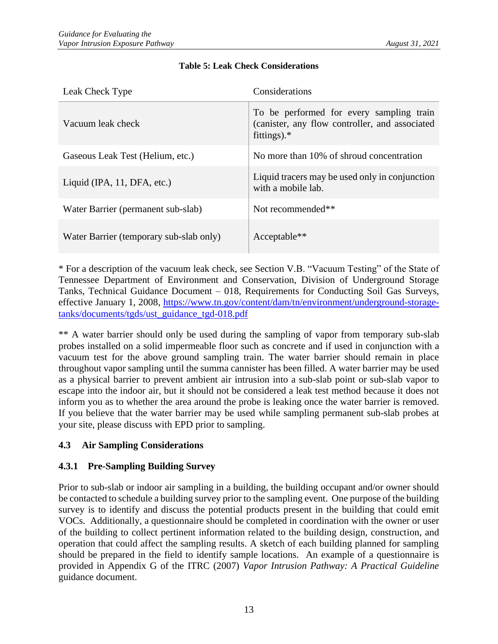| Leak Check Type                         | Considerations                                                                                               |
|-----------------------------------------|--------------------------------------------------------------------------------------------------------------|
| Vacuum leak check                       | To be performed for every sampling train<br>(canister, any flow controller, and associated<br>fittings). $*$ |
| Gaseous Leak Test (Helium, etc.)        | No more than 10% of shroud concentration                                                                     |
| Liquid (IPA, 11, DFA, etc.)             | Liquid tracers may be used only in conjunction<br>with a mobile lab.                                         |
| Water Barrier (permanent sub-slab)      | Not recommended**                                                                                            |
| Water Barrier (temporary sub-slab only) | Acceptable**                                                                                                 |

#### **Table 5: Leak Check Considerations**

\* For a description of the vacuum leak check, see Section V.B. "Vacuum Testing" of the State of Tennessee Department of Environment and Conservation, Division of Underground Storage Tanks, Technical Guidance Document – 018, Requirements for Conducting Soil Gas Surveys, effective January 1, 2008, [https://www.tn.gov/content/dam/tn/environment/underground-storage](https://www.tn.gov/content/dam/tn/environment/underground-storage-tanks/documents/tgds/ust_guidance_tgd-018.pdf)[tanks/documents/tgds/ust\\_guidance\\_tgd-018.pdf](https://www.tn.gov/content/dam/tn/environment/underground-storage-tanks/documents/tgds/ust_guidance_tgd-018.pdf)

\*\* A water barrier should only be used during the sampling of vapor from temporary sub-slab probes installed on a solid impermeable floor such as concrete and if used in conjunction with a vacuum test for the above ground sampling train. The water barrier should remain in place throughout vapor sampling until the summa cannister has been filled. A water barrier may be used as a physical barrier to prevent ambient air intrusion into a sub-slab point or sub-slab vapor to escape into the indoor air, but it should not be considered a leak test method because it does not inform you as to whether the area around the probe is leaking once the water barrier is removed. If you believe that the water barrier may be used while sampling permanent sub-slab probes at your site, please discuss with EPD prior to sampling.

#### <span id="page-17-0"></span>**4.3 Air Sampling Considerations**

#### <span id="page-17-1"></span>**4.3.1 Pre-Sampling Building Survey**

Prior to sub-slab or indoor air sampling in a building, the building occupant and/or owner should be contacted to schedule a building survey prior to the sampling event. One purpose of the building survey is to identify and discuss the potential products present in the building that could emit VOCs. Additionally, a questionnaire should be completed in coordination with the owner or user of the building to collect pertinent information related to the building design, construction, and operation that could affect the sampling results. A sketch of each building planned for sampling should be prepared in the field to identify sample locations. An example of a questionnaire is provided in Appendix G of the ITRC (2007) *Vapor Intrusion Pathway: A Practical Guideline* guidance document.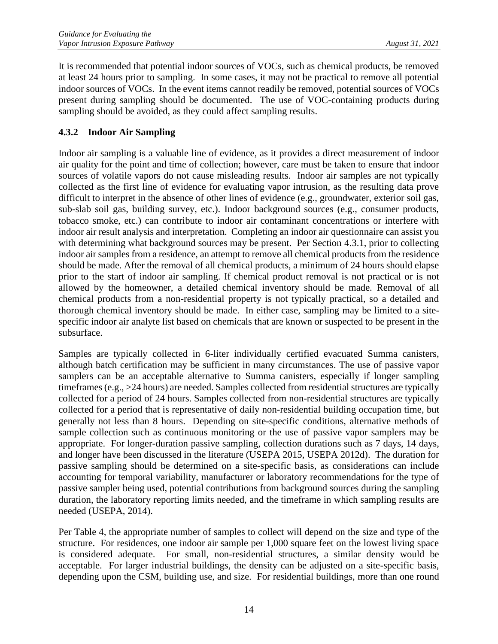It is recommended that potential indoor sources of VOCs, such as chemical products, be removed at least 24 hours prior to sampling. In some cases, it may not be practical to remove all potential indoor sources of VOCs. In the event items cannot readily be removed, potential sources of VOCs present during sampling should be documented. The use of VOC-containing products during sampling should be avoided, as they could affect sampling results.

#### <span id="page-18-0"></span>**4.3.2 Indoor Air Sampling**

Indoor air sampling is a valuable line of evidence, as it provides a direct measurement of indoor air quality for the point and time of collection; however, care must be taken to ensure that indoor sources of volatile vapors do not cause misleading results. Indoor air samples are not typically collected as the first line of evidence for evaluating vapor intrusion, as the resulting data prove difficult to interpret in the absence of other lines of evidence (e.g., groundwater, exterior soil gas, sub-slab soil gas, building survey, etc.). Indoor background sources (e.g., consumer products, tobacco smoke, etc.) can contribute to indoor air contaminant concentrations or interfere with indoor air result analysis and interpretation. Completing an indoor air questionnaire can assist you with determining what background sources may be present. Per Section [4.3.1,](#page-17-1) prior to collecting indoor air samples from a residence, an attempt to remove all chemical products from the residence should be made. After the removal of all chemical products, a minimum of 24 hours should elapse prior to the start of indoor air sampling. If chemical product removal is not practical or is not allowed by the homeowner, a detailed chemical inventory should be made. Removal of all chemical products from a non-residential property is not typically practical, so a detailed and thorough chemical inventory should be made. In either case, sampling may be limited to a sitespecific indoor air analyte list based on chemicals that are known or suspected to be present in the subsurface.

Samples are typically collected in 6-liter individually certified evacuated Summa canisters, although batch certification may be sufficient in many circumstances. The use of passive vapor samplers can be an acceptable alternative to Summa canisters, especially if longer sampling timeframes (e.g., >24 hours) are needed. Samples collected from residential structures are typically collected for a period of 24 hours. Samples collected from non-residential structures are typically collected for a period that is representative of daily non-residential building occupation time, but generally not less than 8 hours. Depending on site-specific conditions, alternative methods of sample collection such as continuous monitoring or the use of passive vapor samplers may be appropriate. For longer-duration passive sampling, collection durations such as 7 days, 14 days, and longer have been discussed in the literature (USEPA 2015, USEPA 2012d). The duration for passive sampling should be determined on a site-specific basis, as considerations can include accounting for temporal variability, manufacturer or laboratory recommendations for the type of passive sampler being used, potential contributions from background sources during the sampling duration, the laboratory reporting limits needed, and the timeframe in which sampling results are needed (USEPA, 2014).

Per Table 4, the appropriate number of samples to collect will depend on the size and type of the structure. For residences, one indoor air sample per 1,000 square feet on the lowest living space is considered adequate. For small, non-residential structures, a similar density would be acceptable. For larger industrial buildings, the density can be adjusted on a site-specific basis, depending upon the CSM, building use, and size. For residential buildings, more than one round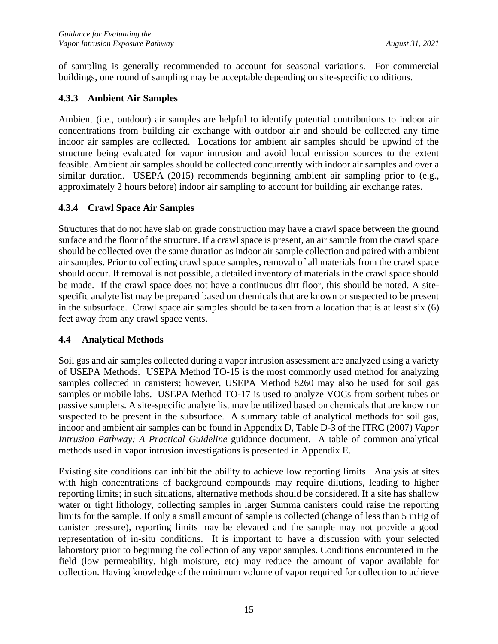of sampling is generally recommended to account for seasonal variations. For commercial buildings, one round of sampling may be acceptable depending on site-specific conditions.

#### <span id="page-19-0"></span>**4.3.3 Ambient Air Samples**

Ambient (i.e., outdoor) air samples are helpful to identify potential contributions to indoor air concentrations from building air exchange with outdoor air and should be collected any time indoor air samples are collected. Locations for ambient air samples should be upwind of the structure being evaluated for vapor intrusion and avoid local emission sources to the extent feasible. Ambient air samples should be collected concurrently with indoor air samples and over a similar duration. USEPA (2015) recommends beginning ambient air sampling prior to (e.g., approximately 2 hours before) indoor air sampling to account for building air exchange rates.

#### <span id="page-19-1"></span>**4.3.4 Crawl Space Air Samples**

Structures that do not have slab on grade construction may have a crawl space between the ground surface and the floor of the structure. If a crawl space is present, an air sample from the crawl space should be collected over the same duration as indoor air sample collection and paired with ambient air samples. Prior to collecting crawl space samples, removal of all materials from the crawl space should occur. If removal is not possible, a detailed inventory of materials in the crawl space should be made. If the crawl space does not have a continuous dirt floor, this should be noted. A sitespecific analyte list may be prepared based on chemicals that are known or suspected to be present in the subsurface. Crawl space air samples should be taken from a location that is at least six (6) feet away from any crawl space vents.

#### <span id="page-19-2"></span>**4.4 Analytical Methods**

Soil gas and air samples collected during a vapor intrusion assessment are analyzed using a variety of USEPA Methods. USEPA Method TO-15 is the most commonly used method for analyzing samples collected in canisters; however, USEPA Method 8260 may also be used for soil gas samples or mobile labs. USEPA Method TO-17 is used to analyze VOCs from sorbent tubes or passive samplers. A site-specific analyte list may be utilized based on chemicals that are known or suspected to be present in the subsurface. A summary table of analytical methods for soil gas, indoor and ambient air samples can be found in Appendix D, Table D-3 of the ITRC (2007) *Vapor Intrusion Pathway: A Practical Guideline* guidance document. A table of common analytical methods used in vapor intrusion investigations is presented in Appendix E.

Existing site conditions can inhibit the ability to achieve low reporting limits. Analysis at sites with high concentrations of background compounds may require dilutions, leading to higher reporting limits; in such situations, alternative methods should be considered. If a site has shallow water or tight lithology, collecting samples in larger Summa canisters could raise the reporting limits for the sample. If only a small amount of sample is collected (change of less than 5 inHg of canister pressure), reporting limits may be elevated and the sample may not provide a good representation of in-situ conditions. It is important to have a discussion with your selected laboratory prior to beginning the collection of any vapor samples. Conditions encountered in the field (low permeability, high moisture, etc) may reduce the amount of vapor available for collection. Having knowledge of the minimum volume of vapor required for collection to achieve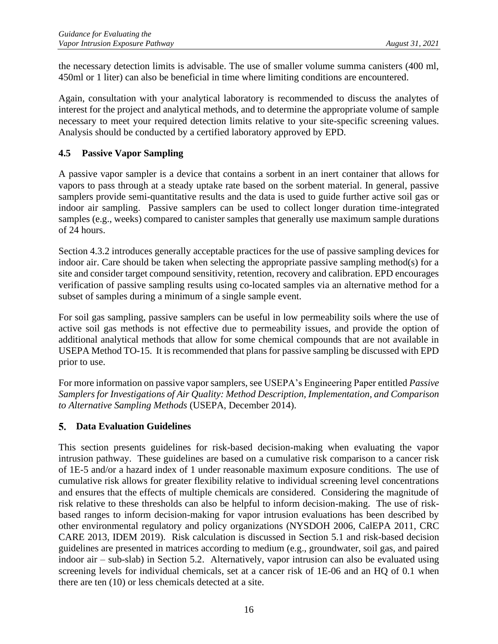the necessary detection limits is advisable. The use of smaller volume summa canisters (400 ml, 450ml or 1 liter) can also be beneficial in time where limiting conditions are encountered.

Again, consultation with your analytical laboratory is recommended to discuss the analytes of interest for the project and analytical methods, and to determine the appropriate volume of sample necessary to meet your required detection limits relative to your site-specific screening values. Analysis should be conducted by a certified laboratory approved by EPD.

#### <span id="page-20-0"></span>**4.5 Passive Vapor Sampling**

A passive vapor sampler is a device that contains a sorbent in an inert container that allows for vapors to pass through at a steady uptake rate based on the sorbent material. In general, passive samplers provide semi-quantitative results and the data is used to guide further active soil gas or indoor air sampling. Passive samplers can be used to collect longer duration time-integrated samples (e.g., weeks) compared to canister samples that generally use maximum sample durations of 24 hours.

Section 4.3.2 introduces generally acceptable practices for the use of passive sampling devices for indoor air. Care should be taken when selecting the appropriate passive sampling method(s) for a site and consider target compound sensitivity, retention, recovery and calibration. EPD encourages verification of passive sampling results using co-located samples via an alternative method for a subset of samples during a minimum of a single sample event.

For soil gas sampling, passive samplers can be useful in low permeability soils where the use of active soil gas methods is not effective due to permeability issues, and provide the option of additional analytical methods that allow for some chemical compounds that are not available in USEPA Method TO-15. It is recommended that plans for passive sampling be discussed with EPD prior to use.

For more information on passive vapor samplers, see USEPA's Engineering Paper entitled *Passive Samplers for Investigations of Air Quality: Method Description, Implementation, and Comparison to Alternative Sampling Methods* (USEPA, December 2014).

#### <span id="page-20-1"></span>**Data Evaluation Guidelines**

This section presents guidelines for risk-based decision-making when evaluating the vapor intrusion pathway. These guidelines are based on a cumulative risk comparison to a cancer risk of 1E-5 and/or a hazard index of 1 under reasonable maximum exposure conditions. The use of cumulative risk allows for greater flexibility relative to individual screening level concentrations and ensures that the effects of multiple chemicals are considered. Considering the magnitude of risk relative to these thresholds can also be helpful to inform decision-making. The use of riskbased ranges to inform decision-making for vapor intrusion evaluations has been described by other environmental regulatory and policy organizations (NYSDOH 2006, CalEPA 2011, CRC CARE 2013, IDEM 2019). Risk calculation is discussed in Section [5.1](#page-21-0) and risk-based decision guidelines are presented in matrices according to medium (e.g., groundwater, soil gas, and paired indoor air – sub-slab) in Section [5.2.](#page-27-1) Alternatively, vapor intrusion can also be evaluated using screening levels for individual chemicals, set at a cancer risk of 1E-06 and an HQ of 0.1 when there are ten (10) or less chemicals detected at a site.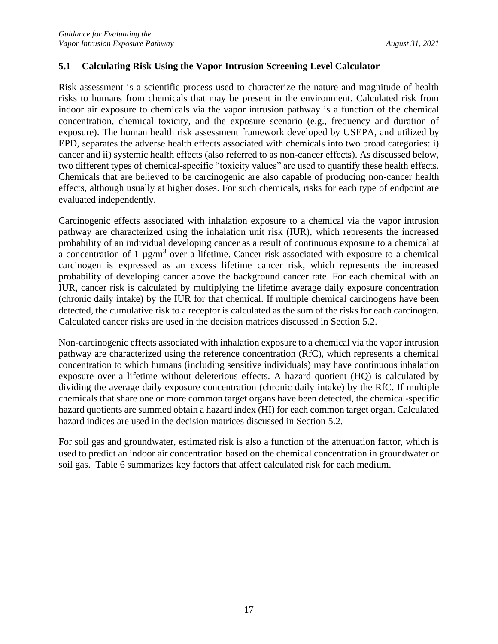#### <span id="page-21-0"></span>**5.1 Calculating Risk Using the Vapor Intrusion Screening Level Calculator**

Risk assessment is a scientific process used to characterize the nature and magnitude of health risks to humans from chemicals that may be present in the environment. Calculated risk from indoor air exposure to chemicals via the vapor intrusion pathway is a function of the chemical concentration, chemical toxicity, and the exposure scenario (e.g., frequency and duration of exposure). The human health risk assessment framework developed by USEPA, and utilized by EPD, separates the adverse health effects associated with chemicals into two broad categories: i) cancer and ii) systemic health effects (also referred to as non-cancer effects). As discussed below, two different types of chemical-specific "toxicity values" are used to quantify these health effects. Chemicals that are believed to be carcinogenic are also capable of producing non-cancer health effects, although usually at higher doses. For such chemicals, risks for each type of endpoint are evaluated independently.

Carcinogenic effects associated with inhalation exposure to a chemical via the vapor intrusion pathway are characterized using the inhalation unit risk (IUR), which represents the increased probability of an individual developing cancer as a result of continuous exposure to a chemical at a concentration of 1  $\mu$ g/m<sup>3</sup> over a lifetime. Cancer risk associated with exposure to a chemical carcinogen is expressed as an excess lifetime cancer risk, which represents the increased probability of developing cancer above the background cancer rate. For each chemical with an IUR, cancer risk is calculated by multiplying the lifetime average daily exposure concentration (chronic daily intake) by the IUR for that chemical. If multiple chemical carcinogens have been detected, the cumulative risk to a receptor is calculated as the sum of the risks for each carcinogen. Calculated cancer risks are used in the decision matrices discussed in Section [5.2.](#page-27-1)

Non-carcinogenic effects associated with inhalation exposure to a chemical via the vapor intrusion pathway are characterized using the reference concentration (RfC), which represents a chemical concentration to which humans (including sensitive individuals) may have continuous inhalation exposure over a lifetime without deleterious effects. A hazard quotient (HQ) is calculated by dividing the average daily exposure concentration (chronic daily intake) by the RfC. If multiple chemicals that share one or more common target organs have been detected, the chemical-specific hazard quotients are summed obtain a hazard index (HI) for each common target organ. Calculated hazard indices are used in the decision matrices discussed in Section [5.2.](#page-27-1)

For soil gas and groundwater, estimated risk is also a function of the attenuation factor, which is used to predict an indoor air concentration based on the chemical concentration in groundwater or soil gas. Table 6 summarizes key factors that affect calculated risk for each medium.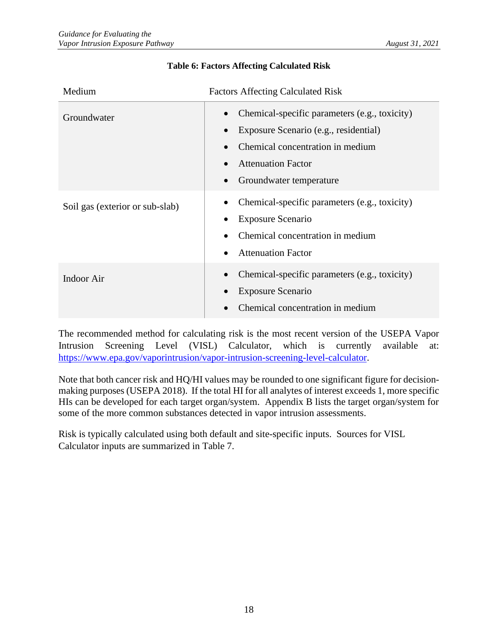| Medium                          | <b>Factors Affecting Calculated Risk</b>                                                                                                                                           |  |
|---------------------------------|------------------------------------------------------------------------------------------------------------------------------------------------------------------------------------|--|
| Groundwater                     | Chemical-specific parameters (e.g., toxicity)<br>Exposure Scenario (e.g., residential)<br>Chemical concentration in medium<br><b>Attenuation Factor</b><br>Groundwater temperature |  |
| Soil gas (exterior or sub-slab) | Chemical-specific parameters (e.g., toxicity)<br><b>Exposure Scenario</b><br>Chemical concentration in medium<br><b>Attenuation Factor</b>                                         |  |
| <b>Indoor Air</b>               | Chemical-specific parameters (e.g., toxicity)<br><b>Exposure Scenario</b><br>Chemical concentration in medium                                                                      |  |

#### **Table 6: Factors Affecting Calculated Risk**

The recommended method for calculating risk is the most recent version of the USEPA Vapor Intrusion Screening Level (VISL) Calculator, which is currently available at: [https://www.epa.gov/vaporintrusion/vapor-intrusion-screening-level-calculator.](https://www.epa.gov/vaporintrusion/vapor-intrusion-screening-level-calculator)

Note that both cancer risk and HQ/HI values may be rounded to one significant figure for decisionmaking purposes (USEPA 2018). If the total HI for all analytes of interest exceeds 1, more specific HIs can be developed for each target organ/system. Appendix B lists the target organ/system for some of the more common substances detected in vapor intrusion assessments.

Risk is typically calculated using both default and site-specific inputs. Sources for VISL Calculator inputs are summarized in Table 7.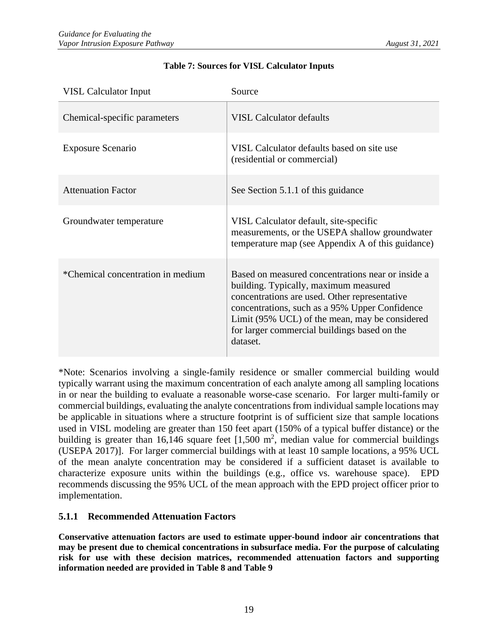| <b>VISL Calculator Input</b>      | Source                                                                                                                                                                                                                                                                                                      |
|-----------------------------------|-------------------------------------------------------------------------------------------------------------------------------------------------------------------------------------------------------------------------------------------------------------------------------------------------------------|
| Chemical-specific parameters      | <b>VISL Calculator defaults</b>                                                                                                                                                                                                                                                                             |
| Exposure Scenario                 | VISL Calculator defaults based on site use<br>(residential or commercial)                                                                                                                                                                                                                                   |
| <b>Attenuation Factor</b>         | See Section 5.1.1 of this guidance                                                                                                                                                                                                                                                                          |
| Groundwater temperature           | VISL Calculator default, site-specific<br>measurements, or the USEPA shallow groundwater<br>temperature map (see Appendix A of this guidance)                                                                                                                                                               |
| *Chemical concentration in medium | Based on measured concentrations near or inside a<br>building. Typically, maximum measured<br>concentrations are used. Other representative<br>concentrations, such as a 95% Upper Confidence<br>Limit (95% UCL) of the mean, may be considered<br>for larger commercial buildings based on the<br>dataset. |

#### **Table 7: Sources for VISL Calculator Inputs**

\*Note: Scenarios involving a single-family residence or smaller commercial building would typically warrant using the maximum concentration of each analyte among all sampling locations in or near the building to evaluate a reasonable worse-case scenario. For larger multi-family or commercial buildings, evaluating the analyte concentrations from individual sample locations may be applicable in situations where a structure footprint is of sufficient size that sample locations used in VISL modeling are greater than 150 feet apart (150% of a typical buffer distance) or the building is greater than 16,146 square feet  $[1,500 \text{ m}^2, \text{ median value for commercial buildings}]$ (USEPA 2017)]. For larger commercial buildings with at least 10 sample locations, a 95% UCL of the mean analyte concentration may be considered if a sufficient dataset is available to characterize exposure units within the buildings (e.g., office vs. warehouse space). EPD recommends discussing the 95% UCL of the mean approach with the EPD project officer prior to implementation.

#### <span id="page-23-0"></span>**5.1.1 Recommended Attenuation Factors**

**Conservative attenuation factors are used to estimate upper-bound indoor air concentrations that may be present due to chemical concentrations in subsurface media. For the purpose of calculating risk for use with these decision matrices, recommended attenuation factors and supporting information needed are provided in Table 8 and Table [9](#page-24-0)**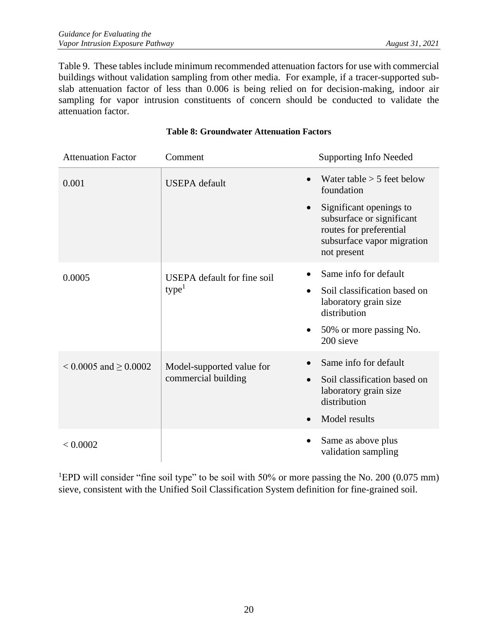[Table 9.](#page-24-0) These tables include minimum recommended attenuation factors for use with commercial buildings without validation sampling from other media. For example, if a tracer-supported subslab attenuation factor of less than 0.006 is being relied on for decision-making, indoor air sampling for vapor intrusion constituents of concern should be conducted to validate the attenuation factor.

| <b>Attenuation Factor</b>    | Comment                            | <b>Supporting Info Needed</b>                                                                                                |
|------------------------------|------------------------------------|------------------------------------------------------------------------------------------------------------------------------|
| 0.001                        | <b>USEPA</b> default               | Water table $> 5$ feet below<br>foundation                                                                                   |
|                              | $\bullet$                          | Significant openings to<br>subsurface or significant<br>routes for preferential<br>subsurface vapor migration<br>not present |
| 0.0005                       | <b>USEPA</b> default for fine soil | Same info for default                                                                                                        |
|                              | type <sup>1</sup>                  | Soil classification based on<br>laboratory grain size<br>distribution                                                        |
|                              |                                    | 50% or more passing No.<br>200 sieve                                                                                         |
| $< 0.0005$ and $\geq 0.0002$ | Model-supported value for          | Same info for default                                                                                                        |
|                              | commercial building                | Soil classification based on<br>laboratory grain size<br>distribution                                                        |
|                              |                                    | Model results                                                                                                                |
| < 0.0002                     |                                    | Same as above plus<br>validation sampling                                                                                    |

#### **Table 8: Groundwater Attenuation Factors**

<span id="page-24-0"></span><sup>1</sup>EPD will consider "fine soil type" to be soil with 50% or more passing the No. 200 (0.075 mm) sieve, consistent with the Unified Soil Classification System definition for fine-grained soil.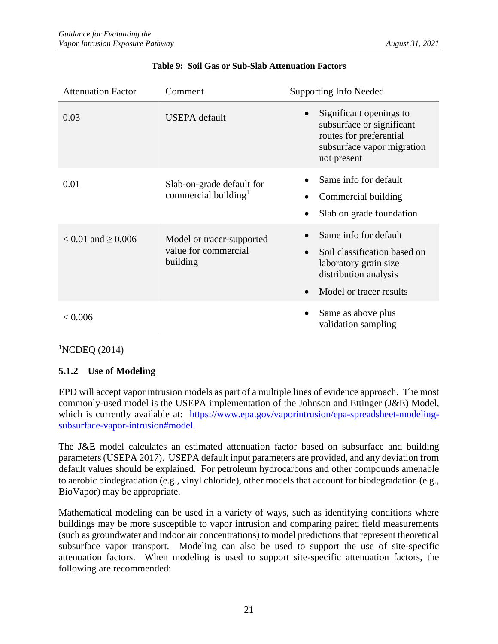| <b>Attenuation Factor</b> | Comment                                                       | <b>Supporting Info Needed</b>                                                                                                                                |
|---------------------------|---------------------------------------------------------------|--------------------------------------------------------------------------------------------------------------------------------------------------------------|
| 0.03                      | <b>USEPA</b> default                                          | Significant openings to<br>subsurface or significant<br>routes for preferential<br>subsurface vapor migration<br>not present                                 |
| 0.01                      | Slab-on-grade default for<br>commercial building <sup>1</sup> | Same info for default<br>Commercial building<br>Slab on grade foundation                                                                                     |
| $< 0.01$ and $\geq 0.006$ | Model or tracer-supported<br>value for commercial<br>building | Same info for default<br>Soil classification based on<br>$\bullet$<br>laboratory grain size<br>distribution analysis<br>Model or tracer results<br>$\bullet$ |
| < 0.006                   |                                                               | Same as above plus<br>validation sampling                                                                                                                    |

#### **Table 9: Soil Gas or Sub-Slab Attenuation Factors**

 ${}^{1}$ NCDEQ (2014)

#### <span id="page-25-0"></span>**5.1.2 Use of Modeling**

EPD will accept vapor intrusion models as part of a multiple lines of evidence approach. The most commonly-used model is the USEPA implementation of the Johnson and Ettinger (J&E) Model, which is currently available at: [https://www.epa.gov/vaporintrusion/epa-spreadsheet-modeling](https://www.epa.gov/vaporintrusion/epa-spreadsheet-modeling-subsurface-vapor-intrusion#model)[subsurface-vapor-intrusion#model.](https://www.epa.gov/vaporintrusion/epa-spreadsheet-modeling-subsurface-vapor-intrusion#model)

The J&E model calculates an estimated attenuation factor based on subsurface and building parameters (USEPA 2017). USEPA default input parameters are provided, and any deviation from default values should be explained. For petroleum hydrocarbons and other compounds amenable to aerobic biodegradation (e.g., vinyl chloride), other models that account for biodegradation (e.g., BioVapor) may be appropriate.

Mathematical modeling can be used in a variety of ways, such as identifying conditions where buildings may be more susceptible to vapor intrusion and comparing paired field measurements (such as groundwater and indoor air concentrations) to model predictions that represent theoretical subsurface vapor transport. Modeling can also be used to support the use of site-specific attenuation factors. When modeling is used to support site-specific attenuation factors, the following are recommended: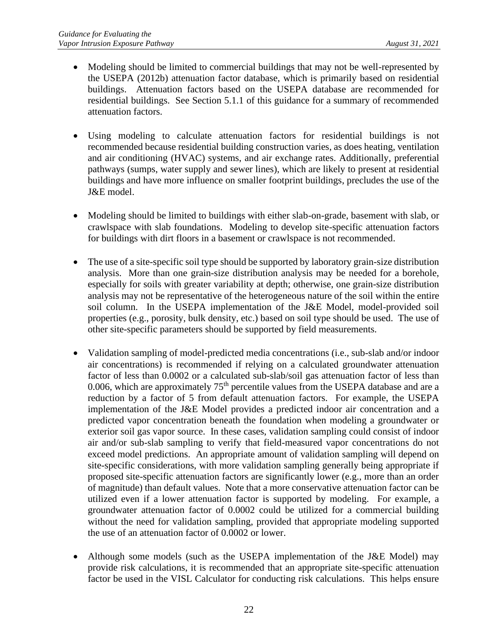- Modeling should be limited to commercial buildings that may not be well-represented by the USEPA (2012b) attenuation factor database, which is primarily based on residential buildings. Attenuation factors based on the USEPA database are recommended for residential buildings. See Section 5.1.1 of this guidance for a summary of recommended attenuation factors.
- Using modeling to calculate attenuation factors for residential buildings is not recommended because residential building construction varies, as does heating, ventilation and air conditioning (HVAC) systems, and air exchange rates. Additionally, preferential pathways (sumps, water supply and sewer lines), which are likely to present at residential buildings and have more influence on smaller footprint buildings, precludes the use of the J&E model.
- Modeling should be limited to buildings with either slab-on-grade, basement with slab, or crawlspace with slab foundations. Modeling to develop site-specific attenuation factors for buildings with dirt floors in a basement or crawlspace is not recommended.
- The use of a site-specific soil type should be supported by laboratory grain-size distribution analysis. More than one grain-size distribution analysis may be needed for a borehole, especially for soils with greater variability at depth; otherwise, one grain-size distribution analysis may not be representative of the heterogeneous nature of the soil within the entire soil column. In the USEPA implementation of the J&E Model, model-provided soil properties (e.g., porosity, bulk density, etc.) based on soil type should be used. The use of other site-specific parameters should be supported by field measurements.
- Validation sampling of model-predicted media concentrations (i.e., sub-slab and/or indoor air concentrations) is recommended if relying on a calculated groundwater attenuation factor of less than 0.0002 or a calculated sub-slab/soil gas attenuation factor of less than 0.006, which are approximately  $75<sup>th</sup>$  percentile values from the USEPA database and are a reduction by a factor of 5 from default attenuation factors. For example, the USEPA implementation of the J&E Model provides a predicted indoor air concentration and a predicted vapor concentration beneath the foundation when modeling a groundwater or exterior soil gas vapor source. In these cases, validation sampling could consist of indoor air and/or sub-slab sampling to verify that field-measured vapor concentrations do not exceed model predictions. An appropriate amount of validation sampling will depend on site-specific considerations, with more validation sampling generally being appropriate if proposed site-specific attenuation factors are significantly lower (e.g., more than an order of magnitude) than default values. Note that a more conservative attenuation factor can be utilized even if a lower attenuation factor is supported by modeling. For example, a groundwater attenuation factor of 0.0002 could be utilized for a commercial building without the need for validation sampling, provided that appropriate modeling supported the use of an attenuation factor of 0.0002 or lower.
- Although some models (such as the USEPA implementation of the J&E Model) may provide risk calculations, it is recommended that an appropriate site-specific attenuation factor be used in the VISL Calculator for conducting risk calculations. This helps ensure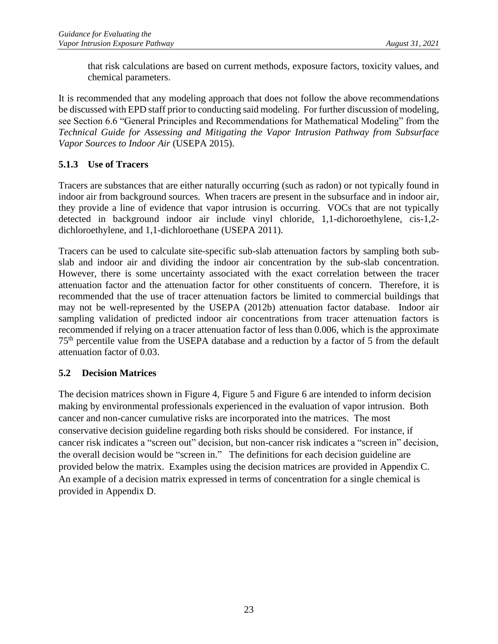that risk calculations are based on current methods, exposure factors, toxicity values, and chemical parameters.

It is recommended that any modeling approach that does not follow the above recommendations be discussed with EPD staff prior to conducting said modeling. For further discussion of modeling, see Section 6.6 "General Principles and Recommendations for Mathematical Modeling" from the *Technical Guide for Assessing and Mitigating the Vapor Intrusion Pathway from Subsurface Vapor Sources to Indoor Air* (USEPA 2015).

#### <span id="page-27-0"></span>**5.1.3 Use of Tracers**

Tracers are substances that are either naturally occurring (such as radon) or not typically found in indoor air from background sources. When tracers are present in the subsurface and in indoor air, they provide a line of evidence that vapor intrusion is occurring. VOCs that are not typically detected in background indoor air include vinyl chloride, 1,1-dichoroethylene, cis-1,2 dichloroethylene, and 1,1-dichloroethane (USEPA 2011).

Tracers can be used to calculate site-specific sub-slab attenuation factors by sampling both subslab and indoor air and dividing the indoor air concentration by the sub-slab concentration. However, there is some uncertainty associated with the exact correlation between the tracer attenuation factor and the attenuation factor for other constituents of concern. Therefore, it is recommended that the use of tracer attenuation factors be limited to commercial buildings that may not be well-represented by the USEPA (2012b) attenuation factor database. Indoor air sampling validation of predicted indoor air concentrations from tracer attenuation factors is recommended if relying on a tracer attenuation factor of less than 0.006, which is the approximate 75th percentile value from the USEPA database and a reduction by a factor of 5 from the default attenuation factor of 0.03.

#### <span id="page-27-1"></span>**5.2 Decision Matrices**

The decision matrices shown in Figure 4, Figure 5 and Figure 6 are intended to inform decision making by environmental professionals experienced in the evaluation of vapor intrusion. Both cancer and non-cancer cumulative risks are incorporated into the matrices. The most conservative decision guideline regarding both risks should be considered. For instance, if cancer risk indicates a "screen out" decision, but non-cancer risk indicates a "screen in" decision, the overall decision would be "screen in." The definitions for each decision guideline are provided below the matrix. Examples using the decision matrices are provided in Appendix C. An example of a decision matrix expressed in terms of concentration for a single chemical is provided in Appendix D.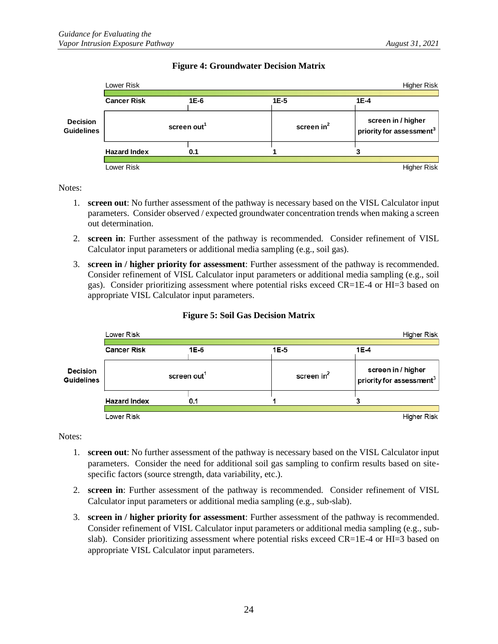|                                      | <b>Higher Risk</b><br>Lower Risk |        |              |                                                            |  |
|--------------------------------------|----------------------------------|--------|--------------|------------------------------------------------------------|--|
| <b>Decision</b><br><b>Guidelines</b> | <b>Cancer Risk</b>               | $1E-6$ | 1E-5         | 1E-4                                                       |  |
|                                      | screen out <sup>1</sup>          |        | screen $in2$ | screen in / higher<br>priority for assessment <sup>3</sup> |  |
|                                      | <b>Hazard Index</b>              | 0.1    |              |                                                            |  |
|                                      | Lower Risk                       |        |              | Higher Risk                                                |  |

#### **Figure 4: Groundwater Decision Matrix**

Notes:

- 1. **screen out**: No further assessment of the pathway is necessary based on the VISL Calculator input parameters. Consider observed / expected groundwater concentration trends when making a screen out determination.
- 2. **screen in**: Further assessment of the pathway is recommended. Consider refinement of VISL Calculator input parameters or additional media sampling (e.g., soil gas).
- 3. **screen in / higher priority for assessment**: Further assessment of the pathway is recommended. Consider refinement of VISL Calculator input parameters or additional media sampling (e.g., soil gas). Consider prioritizing assessment where potential risks exceed CR=1E-4 or HI=3 based on appropriate VISL Calculator input parameters.

|                               | Lower Risk<br>Higher Risk |      |                        |                                                |  |
|-------------------------------|---------------------------|------|------------------------|------------------------------------------------|--|
|                               | <b>Cancer Risk</b>        | 1E-6 | 1E-5                   | $1E-4$                                         |  |
| <b>Decision</b><br>Guidelines | screen out <sup>1</sup>   |      | screen in <sup>2</sup> | screen in / higher<br>priority for assessment3 |  |
|                               | <b>Hazard Index</b>       | 0.1  |                        |                                                |  |
|                               | Lower Risk                |      |                        | Higher Risk                                    |  |

#### **Figure 5: Soil Gas Decision Matrix**

Notes:

- 1. **screen out**: No further assessment of the pathway is necessary based on the VISL Calculator input parameters. Consider the need for additional soil gas sampling to confirm results based on sitespecific factors (source strength, data variability, etc.).
- 2. **screen in**: Further assessment of the pathway is recommended. Consider refinement of VISL Calculator input parameters or additional media sampling (e.g., sub-slab).
- 3. **screen in / higher priority for assessment**: Further assessment of the pathway is recommended. Consider refinement of VISL Calculator input parameters or additional media sampling (e.g., subslab). Consider prioritizing assessment where potential risks exceed CR=1E-4 or HI=3 based on appropriate VISL Calculator input parameters.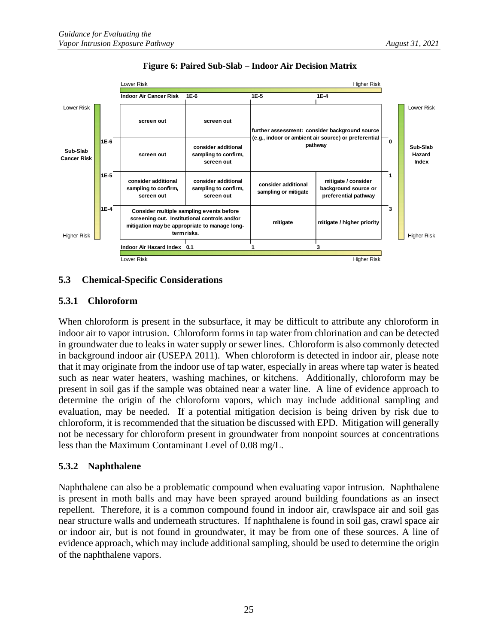

#### **Figure 6: Paired Sub-Slab – Indoor Air Decision Matrix**

#### <span id="page-29-0"></span>**5.3 Chemical-Specific Considerations**

#### <span id="page-29-1"></span>**5.3.1 Chloroform**

When chloroform is present in the subsurface, it may be difficult to attribute any chloroform in indoor air to vapor intrusion. Chloroform forms in tap water from chlorination and can be detected in groundwater due to leaks in water supply or sewer lines. Chloroform is also commonly detected in background indoor air (USEPA 2011). When chloroform is detected in indoor air, please note that it may originate from the indoor use of tap water, especially in areas where tap water is heated such as near water heaters, washing machines, or kitchens. Additionally, chloroform may be present in soil gas if the sample was obtained near a water line. A line of evidence approach to determine the origin of the chloroform vapors, which may include additional sampling and evaluation, may be needed. If a potential mitigation decision is being driven by risk due to chloroform, it is recommended that the situation be discussed with EPD. Mitigation will generally not be necessary for chloroform present in groundwater from nonpoint sources at concentrations less than the Maximum Contaminant Level of 0.08 mg/L.

#### <span id="page-29-2"></span>**5.3.2 Naphthalene**

Naphthalene can also be a problematic compound when evaluating vapor intrusion. Naphthalene is present in moth balls and may have been sprayed around building foundations as an insect repellent. Therefore, it is a common compound found in indoor air, crawlspace air and soil gas near structure walls and underneath structures. If naphthalene is found in soil gas, crawl space air or indoor air, but is not found in groundwater, it may be from one of these sources. A line of evidence approach, which may include additional sampling, should be used to determine the origin of the naphthalene vapors.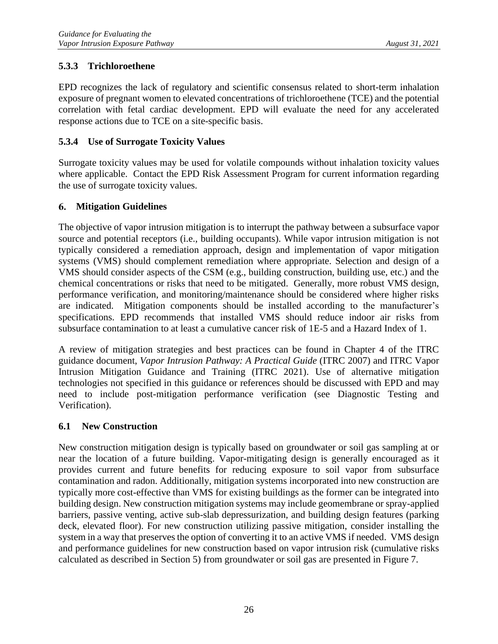#### <span id="page-30-0"></span>**5.3.3 Trichloroethene**

EPD recognizes the lack of regulatory and scientific consensus related to short-term inhalation exposure of pregnant women to elevated concentrations of trichloroethene (TCE) and the potential correlation with fetal cardiac development. EPD will evaluate the need for any accelerated response actions due to TCE on a site-specific basis.

#### <span id="page-30-1"></span>**5.3.4 Use of Surrogate Toxicity Values**

Surrogate toxicity values may be used for volatile compounds without inhalation toxicity values where applicable. Contact the EPD Risk Assessment Program for current information regarding the use of surrogate toxicity values.

#### <span id="page-30-2"></span>**Mitigation Guidelines**

The objective of vapor intrusion mitigation is to interrupt the pathway between a subsurface vapor source and potential receptors (i.e., building occupants). While vapor intrusion mitigation is not typically considered a remediation approach, design and implementation of vapor mitigation systems (VMS) should complement remediation where appropriate. Selection and design of a VMS should consider aspects of the CSM (e.g., building construction, building use, etc.) and the chemical concentrations or risks that need to be mitigated. Generally, more robust VMS design, performance verification, and monitoring/maintenance should be considered where higher risks are indicated. Mitigation components should be installed according to the manufacturer's specifications. EPD recommends that installed VMS should reduce indoor air risks from subsurface contamination to at least a cumulative cancer risk of 1E-5 and a Hazard Index of 1.

A review of mitigation strategies and best practices can be found in Chapter 4 of the ITRC guidance document, *Vapor Intrusion Pathway: A Practical Guide* (ITRC 2007) and ITRC Vapor Intrusion Mitigation Guidance and Training (ITRC 2021). Use of alternative mitigation technologies not specified in this guidance or references should be discussed with EPD and may need to include post-mitigation performance verification (see Diagnostic Testing and Verification).

#### <span id="page-30-3"></span>**6.1 New Construction**

New construction mitigation design is typically based on groundwater or soil gas sampling at or near the location of a future building. Vapor-mitigating design is generally encouraged as it provides current and future benefits for reducing exposure to soil vapor from subsurface contamination and radon. Additionally, mitigation systems incorporated into new construction are typically more cost-effective than VMS for existing buildings as the former can be integrated into building design. New construction mitigation systems may include geomembrane or spray-applied barriers, passive venting, active sub-slab depressurization, and building design features (parking deck, elevated floor). For new construction utilizing passive mitigation, consider installing the system in a way that preserves the option of converting it to an active VMS if needed. VMS design and performance guidelines for new construction based on vapor intrusion risk (cumulative risks calculated as described in Section 5) from groundwater or soil gas are presented in Figure 7.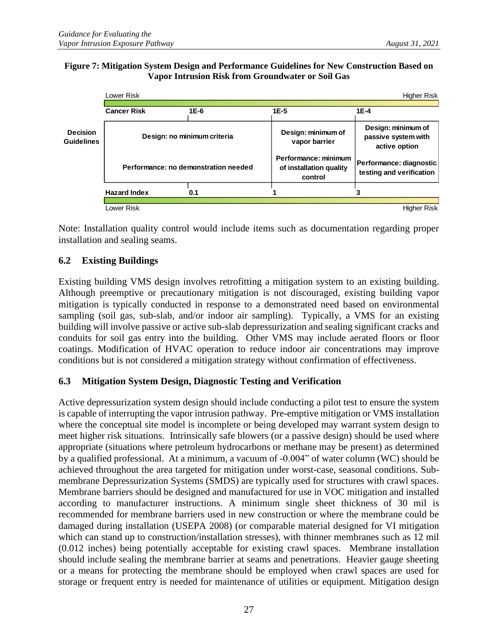#### **Figure 7: Mitigation System Design and Performance Guidelines for New Construction Based on Vapor Intrusion Risk from Groundwater or Soil Gas**

|                                      | Lower Risk<br><b>Higher Risk</b>     |        |                                                            |                                                            |  |
|--------------------------------------|--------------------------------------|--------|------------------------------------------------------------|------------------------------------------------------------|--|
|                                      | <b>Cancer Risk</b>                   | $1E-6$ | $1E-5$                                                     | $1E-4$                                                     |  |
| <b>Decision</b><br><b>Guidelines</b> | Design: no minimum criteria          |        | Design: minimum of<br>vapor barrier                        | Design: minimum of<br>passive system with<br>active option |  |
|                                      | Performance: no demonstration needed |        | Performance: minimum<br>of installation quality<br>control | Performance: diagnostic<br>testing and verification        |  |
|                                      | <b>Hazard Index</b>                  | 0.1    |                                                            |                                                            |  |
|                                      | Lower Risk                           |        |                                                            | <b>Higher Risk</b>                                         |  |

Note: Installation quality control would include items such as documentation regarding proper installation and sealing seams.

#### <span id="page-31-0"></span>**6.2 Existing Buildings**

Existing building VMS design involves retrofitting a mitigation system to an existing building. Although preemptive or precautionary mitigation is not discouraged, existing building vapor mitigation is typically conducted in response to a demonstrated need based on environmental sampling (soil gas, sub-slab, and/or indoor air sampling). Typically, a VMS for an existing building will involve passive or active sub-slab depressurization and sealing significant cracks and conduits for soil gas entry into the building. Other VMS may include aerated floors or floor coatings. Modification of HVAC operation to reduce indoor air concentrations may improve conditions but is not considered a mitigation strategy without confirmation of effectiveness.

#### <span id="page-31-1"></span>**6.3 Mitigation System Design, Diagnostic Testing and Verification**

Active depressurization system design should include conducting a pilot test to ensure the system is capable of interrupting the vapor intrusion pathway. Pre-emptive mitigation or VMS installation where the conceptual site model is incomplete or being developed may warrant system design to meet higher risk situations. Intrinsically safe blowers (or a passive design) should be used where appropriate (situations where petroleum hydrocarbons or methane may be present) as determined by a qualified professional. At a minimum, a vacuum of -0.004" of water column (WC) should be achieved throughout the area targeted for mitigation under worst-case, seasonal conditions. Submembrane Depressurization Systems (SMDS) are typically used for structures with crawl spaces. Membrane barriers should be designed and manufactured for use in VOC mitigation and installed according to manufacturer instructions. A minimum single sheet thickness of 30 mil is recommended for membrane barriers used in new construction or where the membrane could be damaged during installation (USEPA 2008) (or comparable material designed for VI mitigation which can stand up to construction/installation stresses), with thinner membranes such as 12 mil (0.012 inches) being potentially acceptable for existing crawl spaces. Membrane installation should include sealing the membrane barrier at seams and penetrations. Heavier gauge sheeting or a means for protecting the membrane should be employed when crawl spaces are used for storage or frequent entry is needed for maintenance of utilities or equipment. Mitigation design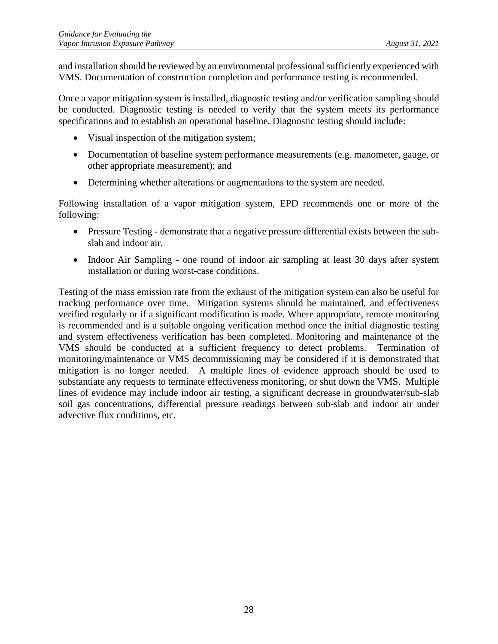and installation should be reviewed by an environmental professional sufficiently experienced with VMS. Documentation of construction completion and performance testing is recommended.

Once a vapor mitigation system is installed, diagnostic testing and/or verification sampling should be conducted. Diagnostic testing is needed to verify that the system meets its performance specifications and to establish an operational baseline. Diagnostic testing should include:

- Visual inspection of the mitigation system;
- Documentation of baseline system performance measurements (e.g. manometer, gauge, or other appropriate measurement); and
- Determining whether alterations or augmentations to the system are needed.

Following installation of a vapor mitigation system, EPD recommends one or more of the following:

- Pressure Testing demonstrate that a negative pressure differential exists between the subslab and indoor air.
- Indoor Air Sampling one round of indoor air sampling at least 30 days after system installation or during worst-case conditions.

Testing of the mass emission rate from the exhaust of the mitigation system can also be useful for tracking performance over time. Mitigation systems should be maintained, and effectiveness verified regularly or if a significant modification is made. Where appropriate, remote monitoring is recommended and is a suitable ongoing verification method once the initial diagnostic testing and system effectiveness verification has been completed. Monitoring and maintenance of the VMS should be conducted at a sufficient frequency to detect problems. Termination of monitoring/maintenance or VMS decommissioning may be considered if it is demonstrated that mitigation is no longer needed. A multiple lines of evidence approach should be used to substantiate any requests to terminate effectiveness monitoring, or shut down the VMS. Multiple lines of evidence may include indoor air testing, a significant decrease in groundwater/sub-slab soil gas concentrations, differential pressure readings between sub-slab and indoor air under advective flux conditions, etc.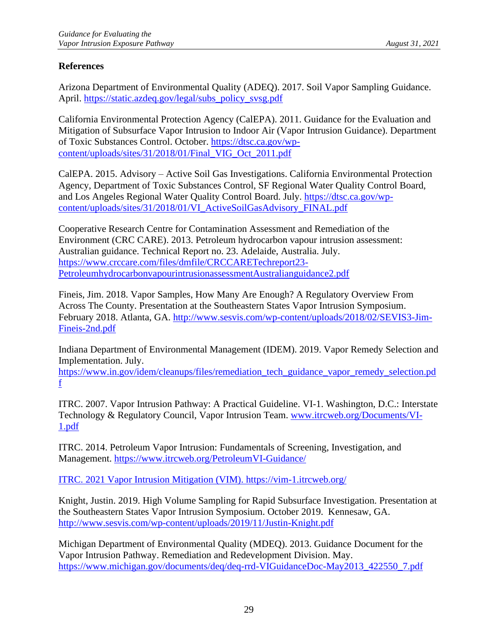#### <span id="page-33-0"></span>**References**

Arizona Department of Environmental Quality (ADEQ). 2017. Soil Vapor Sampling Guidance. April. [https://static.azdeq.gov/legal/subs\\_policy\\_svsg.pdf](https://static.azdeq.gov/legal/subs_policy_svsg.pdf)

California Environmental Protection Agency (CalEPA). 2011. Guidance for the Evaluation and Mitigation of Subsurface Vapor Intrusion to Indoor Air (Vapor Intrusion Guidance). Department of Toxic Substances Control. October. [https://dtsc.ca.gov/wp](https://dtsc.ca.gov/wp-content/uploads/sites/31/2018/01/Final_VIG_Oct_2011.pdf)[content/uploads/sites/31/2018/01/Final\\_VIG\\_Oct\\_2011.pdf](https://dtsc.ca.gov/wp-content/uploads/sites/31/2018/01/Final_VIG_Oct_2011.pdf)

CalEPA. 2015. Advisory – Active Soil Gas Investigations. California Environmental Protection Agency, Department of Toxic Substances Control, SF Regional Water Quality Control Board, and Los Angeles Regional Water Quality Control Board. July. [https://dtsc.ca.gov/wp](https://dtsc.ca.gov/wp-content/uploads/sites/31/2018/01/VI_ActiveSoilGasAdvisory_FINAL.pdf)[content/uploads/sites/31/2018/01/VI\\_ActiveSoilGasAdvisory\\_FINAL.pdf](https://dtsc.ca.gov/wp-content/uploads/sites/31/2018/01/VI_ActiveSoilGasAdvisory_FINAL.pdf)

Cooperative Research Centre for Contamination Assessment and Remediation of the Environment (CRC CARE). 2013. Petroleum hydrocarbon vapour intrusion assessment: Australian guidance. Technical Report no. 23. Adelaide, Australia. July. [https://www.crccare.com/files/dmfile/CRCCARETechreport23-](https://www.crccare.com/files/dmfile/CRCCARETechreport23-PetroleumhydrocarbonvapourintrusionassessmentAustralianguidance2.pdf) [PetroleumhydrocarbonvapourintrusionassessmentAustralianguidance2.pdf](https://www.crccare.com/files/dmfile/CRCCARETechreport23-PetroleumhydrocarbonvapourintrusionassessmentAustralianguidance2.pdf)

Fineis, Jim. 2018. Vapor Samples, How Many Are Enough? A Regulatory Overview From Across The County. Presentation at the Southeastern States Vapor Intrusion Symposium. February 2018. Atlanta, GA. [http://www.sesvis.com/wp-content/uploads/2018/02/SEVIS3-Jim-](http://www.sesvis.com/wp-content/uploads/2018/02/SEVIS3-Jim-Fineis-2nd.pdf)[Fineis-2nd.pdf](http://www.sesvis.com/wp-content/uploads/2018/02/SEVIS3-Jim-Fineis-2nd.pdf)

Indiana Department of Environmental Management (IDEM). 2019. Vapor Remedy Selection and Implementation. July.

[https://www.in.gov/idem/cleanups/files/remediation\\_tech\\_guidance\\_vapor\\_remedy\\_selection.pd](https://www.in.gov/idem/cleanups/files/remediation_tech_guidance_vapor_remedy_selection.pdf) [f](https://www.in.gov/idem/cleanups/files/remediation_tech_guidance_vapor_remedy_selection.pdf)

ITRC. 2007. Vapor Intrusion Pathway: A Practical Guideline. VI-1. Washington, D.C.: Interstate Technology & Regulatory Council, Vapor Intrusion Team. [www.itrcweb.org/Documents/VI-](http://www.itrcweb.org/Documents/VI-1.pdf)[1.pdf](http://www.itrcweb.org/Documents/VI-1.pdf)

ITRC. 2014. Petroleum Vapor Intrusion: Fundamentals of Screening, Investigation, and Management.<https://www.itrcweb.org/PetroleumVI-Guidance/>

ITRC. 2021 Vapor Intrusion Mitigation (VIM).<https://vim-1.itrcweb.org/>

Knight, Justin. 2019. High Volume Sampling for Rapid Subsurface Investigation. Presentation at the Southeastern States Vapor Intrusion Symposium. October 2019. Kennesaw, GA. <http://www.sesvis.com/wp-content/uploads/2019/11/Justin-Knight.pdf>

Michigan Department of Environmental Quality (MDEQ). 2013. Guidance Document for the Vapor Intrusion Pathway. Remediation and Redevelopment Division. May. [https://www.michigan.gov/documents/deq/deq-rrd-VIGuidanceDoc-May2013\\_422550\\_7.pdf](https://www.michigan.gov/documents/deq/deq-rrd-VIGuidanceDoc-May2013_422550_7.pdf)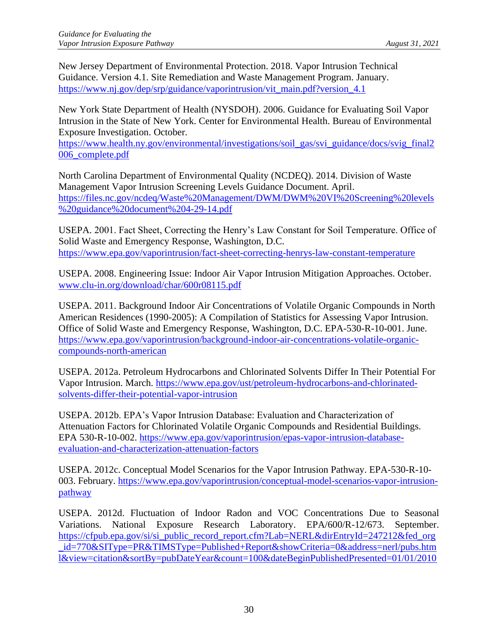New Jersey Department of Environmental Protection. 2018. Vapor Intrusion Technical Guidance. Version 4.1. Site Remediation and Waste Management Program. January. [https://www.nj.gov/dep/srp/guidance/vaporintrusion/vit\\_main.pdf?version\\_4.1](https://www.nj.gov/dep/srp/guidance/vaporintrusion/vit_main.pdf?version_4.1)

New York State Department of Health (NYSDOH). 2006. Guidance for Evaluating Soil Vapor Intrusion in the State of New York. Center for Environmental Health. Bureau of Environmental Exposure Investigation. October.

[https://www.health.ny.gov/environmental/investigations/soil\\_gas/svi\\_guidance/docs/svig\\_final2](https://www.health.ny.gov/environmental/investigations/soil_gas/svi_guidance/docs/svig_final2006_complete.pdf) [006\\_complete.pdf](https://www.health.ny.gov/environmental/investigations/soil_gas/svi_guidance/docs/svig_final2006_complete.pdf)

North Carolina Department of Environmental Quality (NCDEQ). 2014. Division of Waste Management Vapor Intrusion Screening Levels Guidance Document. April. [https://files.nc.gov/ncdeq/Waste%20Management/DWM/DWM%20VI%20Screening%20levels](https://files.nc.gov/ncdeq/Waste%20Management/DWM/DWM%20VI%20Screening%20levels%20guidance%20document%204-29-14.pdf) [%20guidance%20document%204-29-14.pdf](https://files.nc.gov/ncdeq/Waste%20Management/DWM/DWM%20VI%20Screening%20levels%20guidance%20document%204-29-14.pdf)

USEPA. 2001. Fact Sheet, Correcting the Henry's Law Constant for Soil Temperature. Office of Solid Waste and Emergency Response, Washington, D.C. <https://www.epa.gov/vaporintrusion/fact-sheet-correcting-henrys-law-constant-temperature>

USEPA. 2008. Engineering Issue: Indoor Air Vapor Intrusion Mitigation Approaches. October. [www.clu-in.org/download/char/600r08115.pdf](http://www.clu-in.org/download/char/600r08115.pdf)

USEPA. 2011. Background Indoor Air Concentrations of Volatile Organic Compounds in North American Residences (1990-2005): A Compilation of Statistics for Assessing Vapor Intrusion. Office of Solid Waste and Emergency Response, Washington, D.C. EPA-530-R-10-001. June. [https://www.epa.gov/vaporintrusion/background-indoor-air-concentrations-volatile-organic](https://www.epa.gov/vaporintrusion/background-indoor-air-concentrations-volatile-organic-compounds-north-american)[compounds-north-american](https://www.epa.gov/vaporintrusion/background-indoor-air-concentrations-volatile-organic-compounds-north-american)

USEPA. 2012a. Petroleum Hydrocarbons and Chlorinated Solvents Differ In Their Potential For Vapor Intrusion. March. [https://www.epa.gov/ust/petroleum-hydrocarbons-and-chlorinated](https://www.epa.gov/ust/petroleum-hydrocarbons-and-chlorinated-solvents-differ-their-potential-vapor-intrusion)[solvents-differ-their-potential-vapor-intrusion](https://www.epa.gov/ust/petroleum-hydrocarbons-and-chlorinated-solvents-differ-their-potential-vapor-intrusion)

USEPA. 2012b. EPA's Vapor Intrusion Database: Evaluation and Characterization of Attenuation Factors for Chlorinated Volatile Organic Compounds and Residential Buildings. EPA 530-R-10-002. [https://www.epa.gov/vaporintrusion/epas-vapor-intrusion-database](https://www.epa.gov/vaporintrusion/epas-vapor-intrusion-database-evaluation-and-characterization-attenuation-factors)[evaluation-and-characterization-attenuation-factors](https://www.epa.gov/vaporintrusion/epas-vapor-intrusion-database-evaluation-and-characterization-attenuation-factors)

USEPA. 2012c. Conceptual Model Scenarios for the Vapor Intrusion Pathway. EPA-530-R-10 003. February. [https://www.epa.gov/vaporintrusion/conceptual-model-scenarios-vapor-intrusion](https://www.epa.gov/vaporintrusion/conceptual-model-scenarios-vapor-intrusion-pathway)[pathway](https://www.epa.gov/vaporintrusion/conceptual-model-scenarios-vapor-intrusion-pathway)

USEPA. 2012d. Fluctuation of Indoor Radon and VOC Concentrations Due to Seasonal Variations. National Exposure Research Laboratory. EPA/600/R-12/673. September. [https://cfpub.epa.gov/si/si\\_public\\_record\\_report.cfm?Lab=NERL&dirEntryId=247212&fed\\_org](https://cfpub.epa.gov/si/si_public_record_report.cfm?Lab=NERL&dirEntryId=247212&fed_org_id=770&SIType=PR&TIMSType=Published+Report&showCriteria=0&address=nerl/pubs.html&view=citation&sortBy=pubDateYear&count=100&dateBeginPublishedPresented=01/01/2010) [\\_id=770&SIType=PR&TIMSType=Published+Report&showCriteria=0&address=nerl/pubs.htm](https://cfpub.epa.gov/si/si_public_record_report.cfm?Lab=NERL&dirEntryId=247212&fed_org_id=770&SIType=PR&TIMSType=Published+Report&showCriteria=0&address=nerl/pubs.html&view=citation&sortBy=pubDateYear&count=100&dateBeginPublishedPresented=01/01/2010) [l&view=citation&sortBy=pubDateYear&count=100&dateBeginPublishedPresented=01/01/2010](https://cfpub.epa.gov/si/si_public_record_report.cfm?Lab=NERL&dirEntryId=247212&fed_org_id=770&SIType=PR&TIMSType=Published+Report&showCriteria=0&address=nerl/pubs.html&view=citation&sortBy=pubDateYear&count=100&dateBeginPublishedPresented=01/01/2010)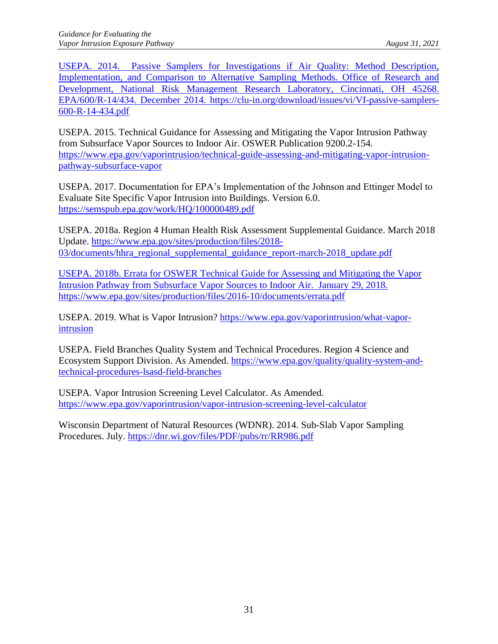USEPA. 2014. Passive Samplers for Investigations if Air Quality: Method Description, Implementation, and Comparison to Alternative Sampling Methods. Office of Research and Development, National Risk Management Research Laboratory, Cincinnati, OH 45268. EPA/600/R-14/434. December 2014. https://clu-in.org/download/issues/vi/VI-passive-samplers-600-R-14-434.pdf

USEPA. 2015. Technical Guidance for Assessing and Mitigating the Vapor Intrusion Pathway from Subsurface Vapor Sources to Indoor Air. OSWER Publication 9200.2-154. [https://www.epa.gov/vaporintrusion/technical-guide-assessing-and-mitigating-vapor-intrusion](https://www.epa.gov/vaporintrusion/technical-guide-assessing-and-mitigating-vapor-intrusion-pathway-subsurface-vapor)[pathway-subsurface-vapor](https://www.epa.gov/vaporintrusion/technical-guide-assessing-and-mitigating-vapor-intrusion-pathway-subsurface-vapor)

USEPA. 2017. Documentation for EPA's Implementation of the Johnson and Ettinger Model to Evaluate Site Specific Vapor Intrusion into Buildings. Version 6.0. <https://semspub.epa.gov/work/HQ/100000489.pdf>

USEPA. 2018a. Region 4 Human Health Risk Assessment Supplemental Guidance. March 2018 Update. [https://www.epa.gov/sites/production/files/2018-](https://www.epa.gov/sites/production/files/2018-03/documents/hhra_regional_supplemental_guidance_report-march-2018_update.pdf) [03/documents/hhra\\_regional\\_supplemental\\_guidance\\_report-march-2018\\_update.pdf](https://www.epa.gov/sites/production/files/2018-03/documents/hhra_regional_supplemental_guidance_report-march-2018_update.pdf)

USEPA. 2018b. Errata for OSWER Technical Guide for Assessing and Mitigating the Vapor Intrusion Pathway from Subsurface Vapor Sources to Indoor Air. January 29, 2018. <https://www.epa.gov/sites/production/files/2016-10/documents/errata.pdf>

USEPA. 2019. What is Vapor Intrusion? [https://www.epa.gov/vaporintrusion/what-vapor](https://www.epa.gov/vaporintrusion/what-vapor-intrusion)[intrusion](https://www.epa.gov/vaporintrusion/what-vapor-intrusion)

USEPA. Field Branches Quality System and Technical Procedures. Region 4 Science and Ecosystem Support Division. As Amended. [https://www.epa.gov/quality/quality-system-and](https://www.epa.gov/quality/quality-system-and-technical-procedures-lsasd-field-branches)[technical-procedures-lsasd-field-branches](https://www.epa.gov/quality/quality-system-and-technical-procedures-lsasd-field-branches)

USEPA. Vapor Intrusion Screening Level Calculator. As Amended. <https://www.epa.gov/vaporintrusion/vapor-intrusion-screening-level-calculator>

Wisconsin Department of Natural Resources (WDNR). 2014. Sub-Slab Vapor Sampling Procedures. July.<https://dnr.wi.gov/files/PDF/pubs/rr/RR986.pdf>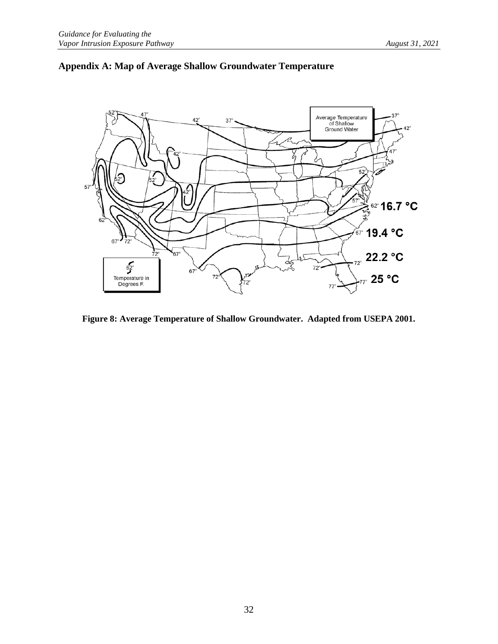

### <span id="page-36-0"></span>**Appendix A: Map of Average Shallow Groundwater Temperature**

**Figure 8: Average Temperature of Shallow Groundwater. Adapted from USEPA 2001.**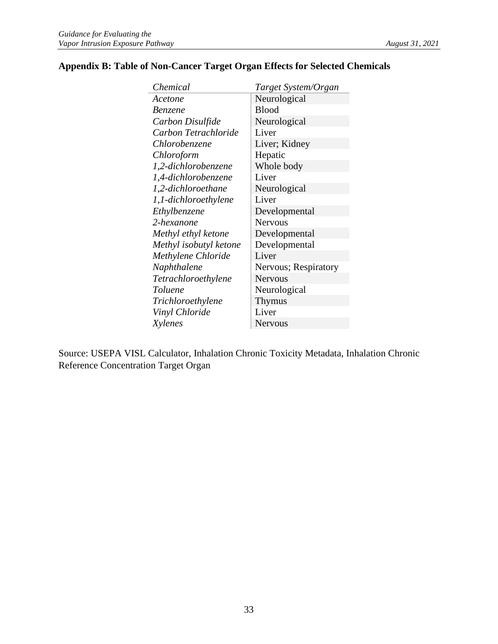#### <span id="page-37-0"></span>**Appendix B: Table of Non-Cancer Target Organ Effects for Selected Chemicals**

| Chemical               | Target System/Organ  |
|------------------------|----------------------|
| Acetone                | Neurological         |
| <b>Benzene</b>         | <b>Blood</b>         |
| Carbon Disulfide       | Neurological         |
| Carbon Tetrachloride   | Liver                |
| Chlorobenzene          | Liver; Kidney        |
| Chloroform             | Hepatic              |
| 1,2-dichlorobenzene    | Whole body           |
| 1,4-dichlorobenzene    | Liver                |
| 1,2-dichloroethane     | Neurological         |
| 1,1-dichloroethylene   | Liver                |
| Ethylbenzene           | Developmental        |
| 2-hexanone             | <b>Nervous</b>       |
| Methyl ethyl ketone    | Developmental        |
| Methyl isobutyl ketone | Developmental        |
| Methylene Chloride     | Liver                |
| Naphthalene            | Nervous; Respiratory |
| Tetrachloroethylene    | <b>Nervous</b>       |
| Toluene                | Neurological         |
| Trichloroethylene      | <b>Thymus</b>        |
| Vinyl Chloride         | Liver                |
| Xylenes                | Nervous              |

Source: USEPA VISL Calculator, Inhalation Chronic Toxicity Metadata, Inhalation Chronic Reference Concentration Target Organ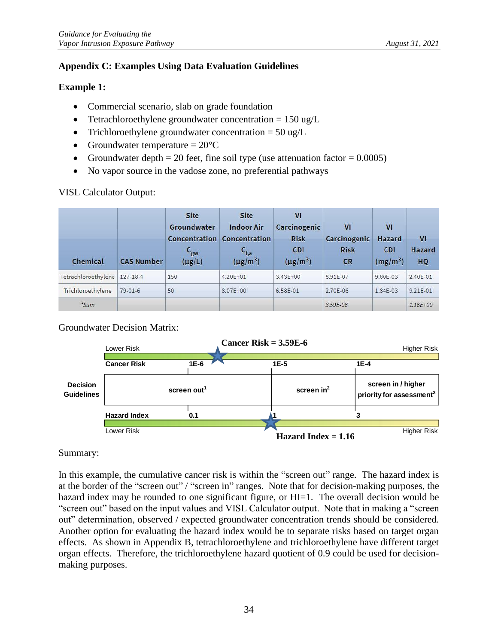#### <span id="page-38-0"></span>**Appendix C: Examples Using Data Evaluation Guidelines**

#### **Example 1:**

- Commercial scenario, slab on grade foundation
- Tetrachloroethylene groundwater concentration  $= 150 \text{ ug/L}$
- Trichloroethylene groundwater concentration  $= 50 \text{ ug/L}$
- Groundwater temperature  $= 20^{\circ}C$
- Groundwater depth  $= 20$  feet, fine soil type (use attenuation factor  $= 0.0005$ )
- No vapor source in the vadose zone, no preferential pathways

#### VISL Calculator Output:

| Chemical                       | <b>CAS Number</b> | <b>Site</b><br>Groundwater<br>Concentration<br>$C_{\rm gw}$<br>$(\mu g/L)$ | <b>Site</b><br><b>Indoor Air</b><br>Concentration<br>$C_{i,a}$<br>$(\mu g/m^3)$ | V <sub>1</sub><br>Carcinogenic<br><b>Risk</b><br><b>CDI</b><br>$(\mu g/m^3)$ | VI<br>Carcinogenic<br><b>Risk</b><br><b>CR</b> | VI<br>Hazard<br><b>CDI</b><br>$(mg/m^3)$ | V <sub>1</sub><br>Hazard<br>HQ |
|--------------------------------|-------------------|----------------------------------------------------------------------------|---------------------------------------------------------------------------------|------------------------------------------------------------------------------|------------------------------------------------|------------------------------------------|--------------------------------|
| Tetrachloroethylene   127-18-4 |                   | 150                                                                        | $4.20E + 01$                                                                    | $3.43E + 00$                                                                 | 8.91E-07                                       | 9.60E-03                                 | 2.40E-01                       |
| Trichloroethylene              | $79-01-6$         | 50                                                                         | $8.07E + 00$                                                                    | 6.58E-01                                                                     | 2.70E-06                                       | 1.84E-03                                 | $9.21E - 01$                   |
| *Sum                           |                   |                                                                            |                                                                                 |                                                                              | $3.59E-06$                                     |                                          | $1.16E + 00$                   |

#### Groundwater Decision Matrix:



#### Summary:

In this example, the cumulative cancer risk is within the "screen out" range. The hazard index is at the border of the "screen out" / "screen in" ranges. Note that for decision-making purposes, the hazard index may be rounded to one significant figure, or HI=1. The overall decision would be "screen out" based on the input values and VISL Calculator output. Note that in making a "screen out" determination, observed / expected groundwater concentration trends should be considered. Another option for evaluating the hazard index would be to separate risks based on target organ effects. As shown in Appendix B, tetrachloroethylene and trichloroethylene have different target organ effects. Therefore, the trichloroethylene hazard quotient of 0.9 could be used for decisionmaking purposes.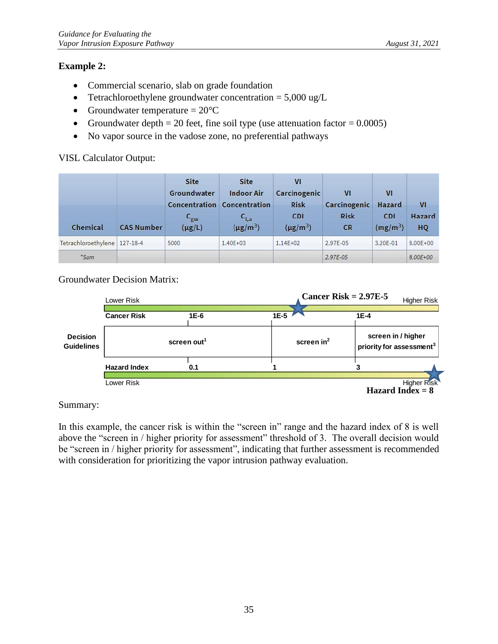#### **Example 2:**

- Commercial scenario, slab on grade foundation
- Tetrachloroethylene groundwater concentration  $= 5,000 \text{ ug/L}$
- Groundwater temperature  $= 20^{\circ}C$
- Groundwater depth  $= 20$  feet, fine soil type (use attenuation factor  $= 0.0005$ )
- No vapor source in the vadose zone, no preferential pathways

#### VISL Calculator Output:

| Chemical                       | <b>CAS Number</b> | <b>Site</b><br>Groundwater<br>Concentration<br>$\mathsf{c}_{\mathsf{gw}}$<br>$(\mu g/L)$ | Site<br><b>Indoor Air</b><br>Concentration<br>$C_{i,a}$<br>$(\mu$ g/m <sup>3</sup> ) | $\mathbf{V}$<br>Carcinogenic<br><b>Risk</b><br><b>CDI</b><br>$(\mu g/m^3)$ | VI<br>Carcinogenic<br><b>Risk</b><br><b>CR</b> | VI<br>Hazard<br><b>CDI</b><br>(mg/m <sup>3</sup> ) | V <sub>1</sub><br>Hazard<br>HQ |
|--------------------------------|-------------------|------------------------------------------------------------------------------------------|--------------------------------------------------------------------------------------|----------------------------------------------------------------------------|------------------------------------------------|----------------------------------------------------|--------------------------------|
| Tetrachloroethylene   127-18-4 |                   | 5000                                                                                     | 1,40E+03                                                                             | $1.14E + 02$                                                               | 2.97E-05                                       | 3.20E-01                                           | 8,00E+00                       |
| *Sum                           |                   |                                                                                          |                                                                                      |                                                                            | 2.97E-05                                       |                                                    | 8.00E+00                       |

#### Groundwater Decision Matrix:

|                                      | Lower Risk              |      |                                                                            | Cancer Risk = $2.97E-5$<br><b>Higher Risk</b> |  |
|--------------------------------------|-------------------------|------|----------------------------------------------------------------------------|-----------------------------------------------|--|
|                                      | <b>Cancer Risk</b>      | 1E-6 | $1E-5$                                                                     | $1E-4$                                        |  |
| <b>Decision</b><br><b>Guidelines</b> | screen out <sup>1</sup> |      | screen in / higher<br>screen $in2$<br>priority for assessment <sup>3</sup> |                                               |  |
|                                      | <b>Hazard Index</b>     | 0.1  |                                                                            |                                               |  |
|                                      | Lower Risk              |      |                                                                            | <b>Higher Risk</b><br>Hazard Index = $8$      |  |

Summary:

In this example, the cancer risk is within the "screen in" range and the hazard index of 8 is well above the "screen in / higher priority for assessment" threshold of 3. The overall decision would be "screen in / higher priority for assessment", indicating that further assessment is recommended with consideration for prioritizing the vapor intrusion pathway evaluation.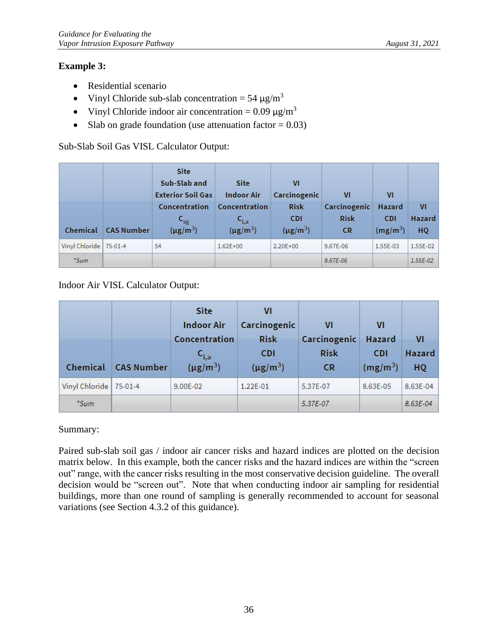#### **Example 3:**

- Residential scenario
- Vinyl Chloride sub-slab concentration =  $54 \mu g/m^3$
- Vinyl Chloride indoor air concentration =  $0.09 \mu g/m^3$
- Slab on grade foundation (use attenuation factor  $= 0.03$ )

Sub-Slab Soil Gas VISL Calculator Output:

|                          |                   | <b>Site</b><br>Sub-Slab and<br><b>Exterior Soil Gas</b> | Site<br><b>Indoor Air</b>                               | VI<br>Carcinogenic                         | V <sub>1</sub>                           | VI                                        |                                       |
|--------------------------|-------------------|---------------------------------------------------------|---------------------------------------------------------|--------------------------------------------|------------------------------------------|-------------------------------------------|---------------------------------------|
| Chemical                 | <b>CAS Number</b> | Concentration<br>$C_{sg}$<br>$(\mu g/m^3)$              | Concentration<br>$C_{i,a}$<br>$(\mu$ g/m <sup>3</sup> ) | <b>Risk</b><br><b>CDI</b><br>$(\mu g/m^3)$ | Carcinogenic<br><b>Risk</b><br><b>CR</b> | <b>Hazard</b><br><b>CDI</b><br>$(mg/m^3)$ | V <sub>1</sub><br><b>Hazard</b><br>HQ |
| Vinyl Chloride   75-01-4 |                   | 54                                                      | $1.62E + 00$                                            | $2.20E + 00$                               | 9.67E-06                                 | 1.55E-03                                  | 1.55E-02                              |
| *Sum                     |                   |                                                         |                                                         |                                            | $9.67E - 06$                             |                                           | $1.55E-02$                            |

#### Indoor Air VISL Calculator Output:

| Chemical       | <b>CAS Number</b> | <b>Site</b><br><b>Indoor Air</b><br>Concentration<br>$\mathsf{c}_{\mathsf{i},\mathsf{a}}$<br>$(\mu$ g/m <sup>3</sup> ) | VI<br>Carcinogenic<br><b>Risk</b><br><b>CDI</b><br>$(\mu g/m^3)$ | VI<br>Carcinogenic<br><b>Risk</b><br><b>CR</b> | VI<br><b>Hazard</b><br><b>CDI</b><br>(mg/m <sup>3</sup> ) | VI<br><b>Hazard</b><br>HQ |
|----------------|-------------------|------------------------------------------------------------------------------------------------------------------------|------------------------------------------------------------------|------------------------------------------------|-----------------------------------------------------------|---------------------------|
| Vinyl Chloride | $75-01-4$         | 9.00E-02                                                                                                               | 1.22E-01                                                         | 5.37E-07                                       | 8.63E-05                                                  | 8.63E-04                  |
| *Sum           |                   |                                                                                                                        |                                                                  | 5.37E-07                                       |                                                           | 8.63E-04                  |

Summary:

Paired sub-slab soil gas / indoor air cancer risks and hazard indices are plotted on the decision matrix below. In this example, both the cancer risks and the hazard indices are within the "screen out" range, with the cancer risks resulting in the most conservative decision guideline. The overall decision would be "screen out". Note that when conducting indoor air sampling for residential buildings, more than one round of sampling is generally recommended to account for seasonal variations (see Section [4.3.2](#page-18-0) of this guidance).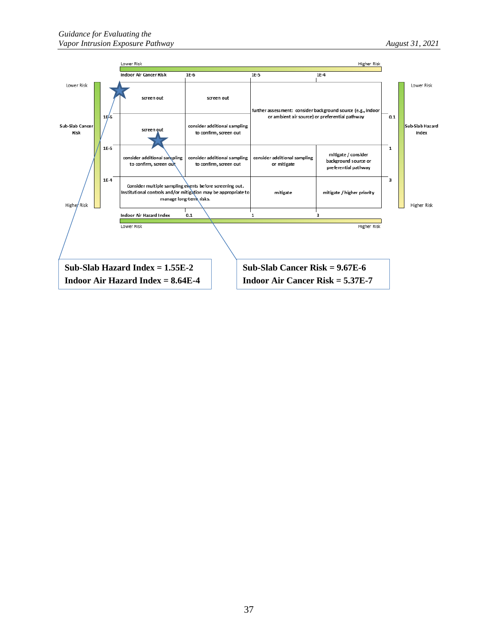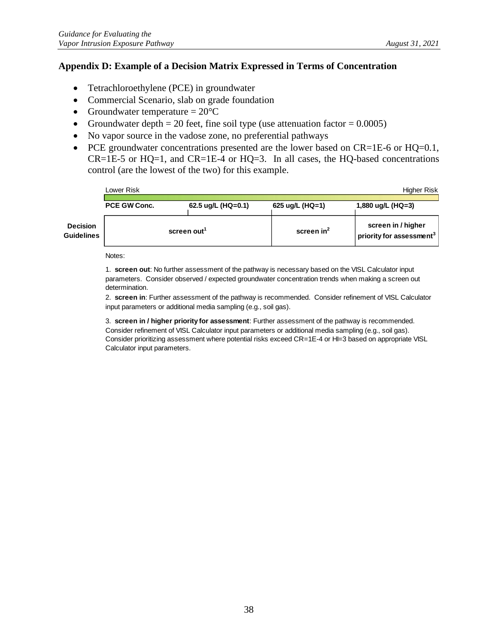#### <span id="page-42-0"></span>**Appendix D: Example of a Decision Matrix Expressed in Terms of Concentration**

- Tetrachloroethylene (PCE) in groundwater
- Commercial Scenario, slab on grade foundation
- Groundwater temperature  $= 20^{\circ}C$
- Groundwater depth = 20 feet, fine soil type (use attenuation factor =  $0.0005$ )
- No vapor source in the vadose zone, no preferential pathways
- PCE groundwater concentrations presented are the lower based on CR=1E-6 or HQ=0.1,  $CR=1E-5$  or  $HQ=1$ , and  $CR=1E-4$  or  $HQ=3$ . In all cases, the  $HQ$ -based concentrations control (are the lowest of the two) for this example.

|                               | Lower Risk   |                         |                     | Higher Risk                                                |
|-------------------------------|--------------|-------------------------|---------------------|------------------------------------------------------------|
|                               | PCE GW Conc. | 62.5 $\mu$ g/L (HQ=0.1) | 625 ug/L ( $HQ=1$ ) | 1,880 ug/L (HQ=3)                                          |
| <b>Decision</b><br>Guidelines |              | screen out <sup>1</sup> | screen $in^2$       | screen in / higher<br>priority for assessment <sup>3</sup> |

Notes:

1. **screen out**: No further assessment of the pathway is necessary based on the VISL Calculator input parameters. Consider observed / expected groundwater concentration trends when making a screen out determination.

2. **screen in**: Further assessment of the pathway is recommended. Consider refinement of VISL Calculator input parameters or additional media sampling (e.g., soil gas).

3. **screen in / higher priority for assessment**: Further assessment of the pathway is recommended. Consider refinement of VISL Calculator input parameters or additional media sampling (e.g., soil gas). Consider prioritizing assessment where potential risks exceed CR=1E-4 or HI=3 based on appropriate VISL Calculator input parameters.